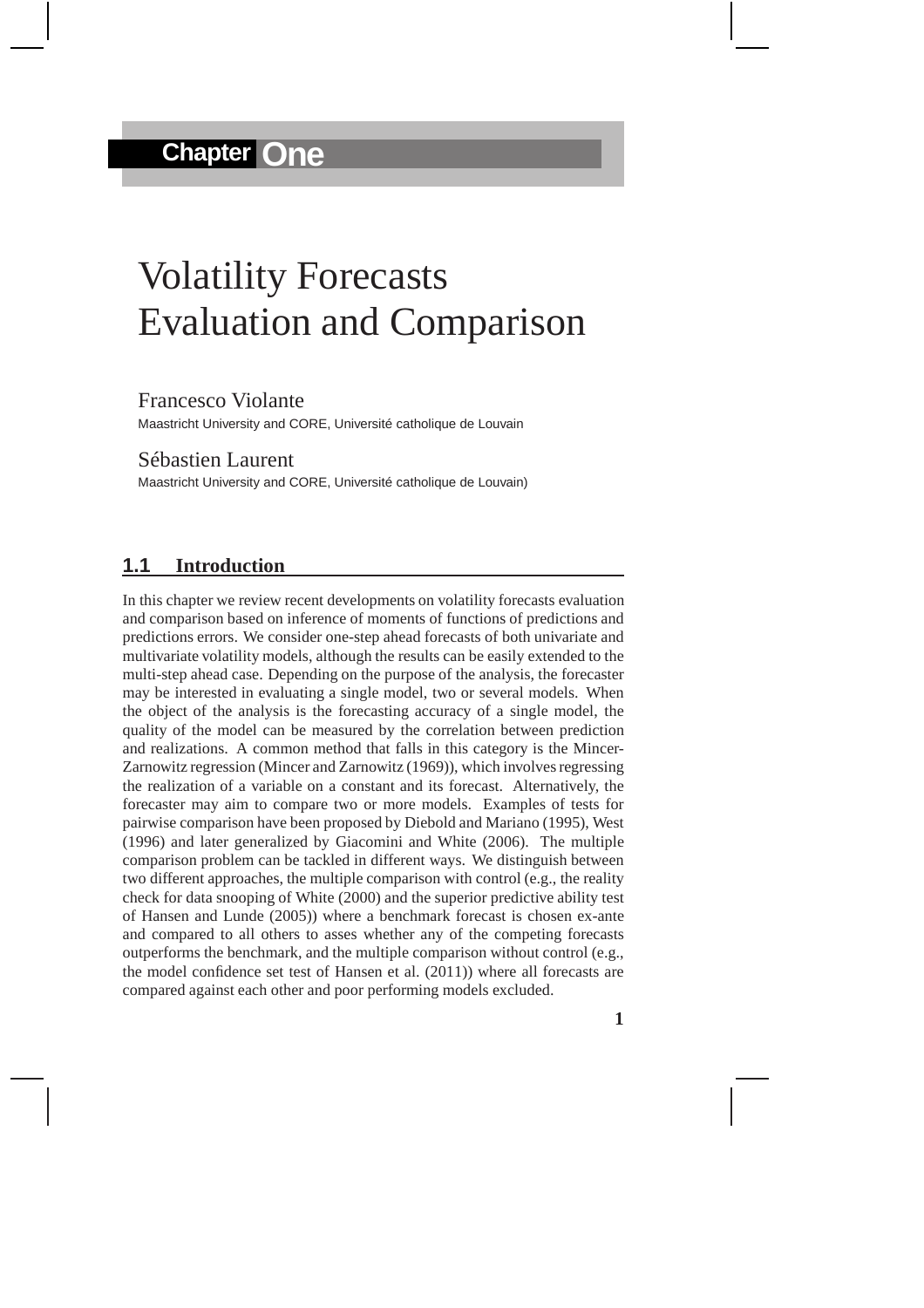# **Chapter One**

# Volatility Forecasts Evaluation and Comparison

Francesco Violante

Maastricht University and CORE, Université catholique de Louvain

#### Sébastien Laurent

Maastricht University and CORE, Université catholique de Louvain)

### **1.1 Introduction**

In this chapter we review recent developments on volatility forecasts evaluation and comparison based on inference of moments of functions of predictions and predictions errors. We consider one-step ahead forecasts of both univariate and multivariate volatility models, although the results can be easily extended to the multi-step ahead case. Depending on the purpose of the analysis, the forecaster may be interested in evaluating a single model, two or several models. When the object of the analysis is the forecasting accuracy of a single model, the quality of the model can be measured by the correlation between prediction and realizations. A common method that falls in this category is the Mincer-Zarnowitz regression (Mincer and Zarnowitz (1969)), which involves regressing the realization of a variable on a constant and its forecast. Alternatively, the forecaster may aim to compare two or more models. Examples of tests for pairwise comparison have been proposed by Diebold and Mariano (1995), West (1996) and later generalized by Giacomini and White (2006). The multiple comparison problem can be tackled in different ways. We distinguish between two different approaches, the multiple comparison with control (e.g., the reality check for data snooping of White (2000) and the superior predictive ability test of Hansen and Lunde (2005)) where a benchmark forecast is chosen ex-ante and compared to all others to asses whether any of the competing forecasts outperforms the benchmark, and the multiple comparison without control (e.g., the model confidence set test of Hansen et al. (2011)) where all forecasts are compared against each other and poor performing models excluded.

**1**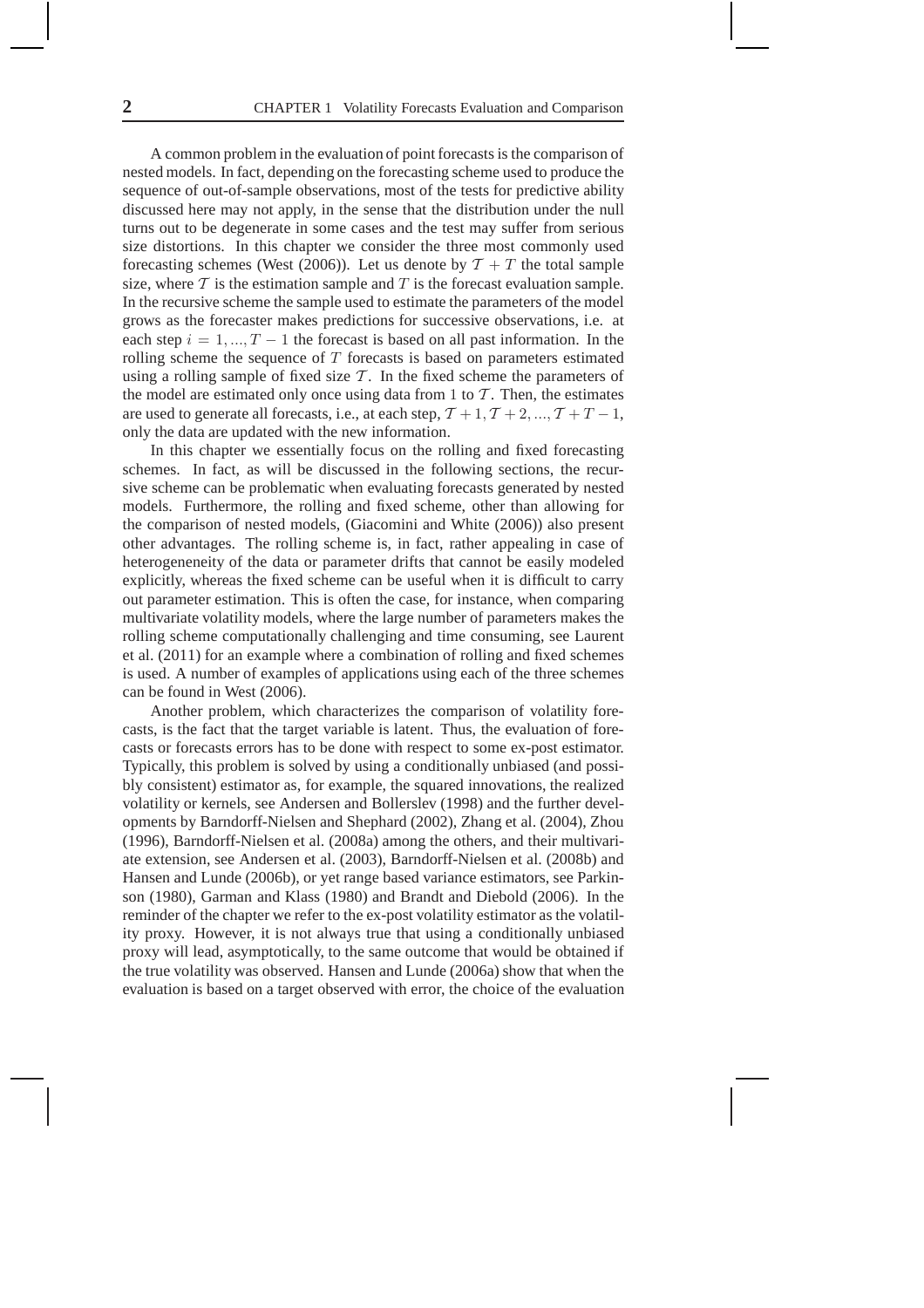A common problem in the evaluation of point forecasts is the comparison of nested models. In fact, depending on the forecasting scheme used to produce the sequence of out-of-sample observations, most of the tests for predictive ability discussed here may not apply, in the sense that the distribution under the null turns out to be degenerate in some cases and the test may suffer from serious size distortions. In this chapter we consider the three most commonly used forecasting schemes (West (2006)). Let us denote by  $T + T$  the total sample size, where  $T$  is the estimation sample and  $T$  is the forecast evaluation sample. In the recursive scheme the sample used to estimate the parameters of the model grows as the forecaster makes predictions for successive observations, i.e. at each step  $i = 1, ..., T - 1$  the forecast is based on all past information. In the rolling scheme the sequence of  $T$  forecasts is based on parameters estimated using a rolling sample of fixed size  $\mathcal T$ . In the fixed scheme the parameters of the model are estimated only once using data from 1 to  $\mathcal T$ . Then, the estimates are used to generate all forecasts, i.e., at each step,  $T + 1, T + 2, ..., T + T - 1$ , only the data are updated with the new information.

In this chapter we essentially focus on the rolling and fixed forecasting schemes. In fact, as will be discussed in the following sections, the recursive scheme can be problematic when evaluating forecasts generated by nested models. Furthermore, the rolling and fixed scheme, other than allowing for the comparison of nested models, (Giacomini and White (2006)) also present other advantages. The rolling scheme is, in fact, rather appealing in case of heterogeneneity of the data or parameter drifts that cannot be easily modeled explicitly, whereas the fixed scheme can be useful when it is difficult to carry out parameter estimation. This is often the case, for instance, when comparing multivariate volatility models, where the large number of parameters makes the rolling scheme computationally challenging and time consuming, see Laurent et al. (2011) for an example where a combination of rolling and fixed schemes is used. A number of examples of applications using each of the three schemes can be found in West (2006).

Another problem, which characterizes the comparison of volatility forecasts, is the fact that the target variable is latent. Thus, the evaluation of forecasts or forecasts errors has to be done with respect to some ex-post estimator. Typically, this problem is solved by using a conditionally unbiased (and possibly consistent) estimator as, for example, the squared innovations, the realized volatility or kernels, see Andersen and Bollerslev (1998) and the further developments by Barndorff-Nielsen and Shephard (2002), Zhang et al. (2004), Zhou (1996), Barndorff-Nielsen et al. (2008a) among the others, and their multivariate extension, see Andersen et al. (2003), Barndorff-Nielsen et al. (2008b) and Hansen and Lunde (2006b), or yet range based variance estimators, see Parkinson (1980), Garman and Klass (1980) and Brandt and Diebold (2006). In the reminder of the chapter we refer to the ex-post volatility estimator as the volatility proxy. However, it is not always true that using a conditionally unbiased proxy will lead, asymptotically, to the same outcome that would be obtained if the true volatility was observed. Hansen and Lunde (2006a) show that when the evaluation is based on a target observed with error, the choice of the evaluation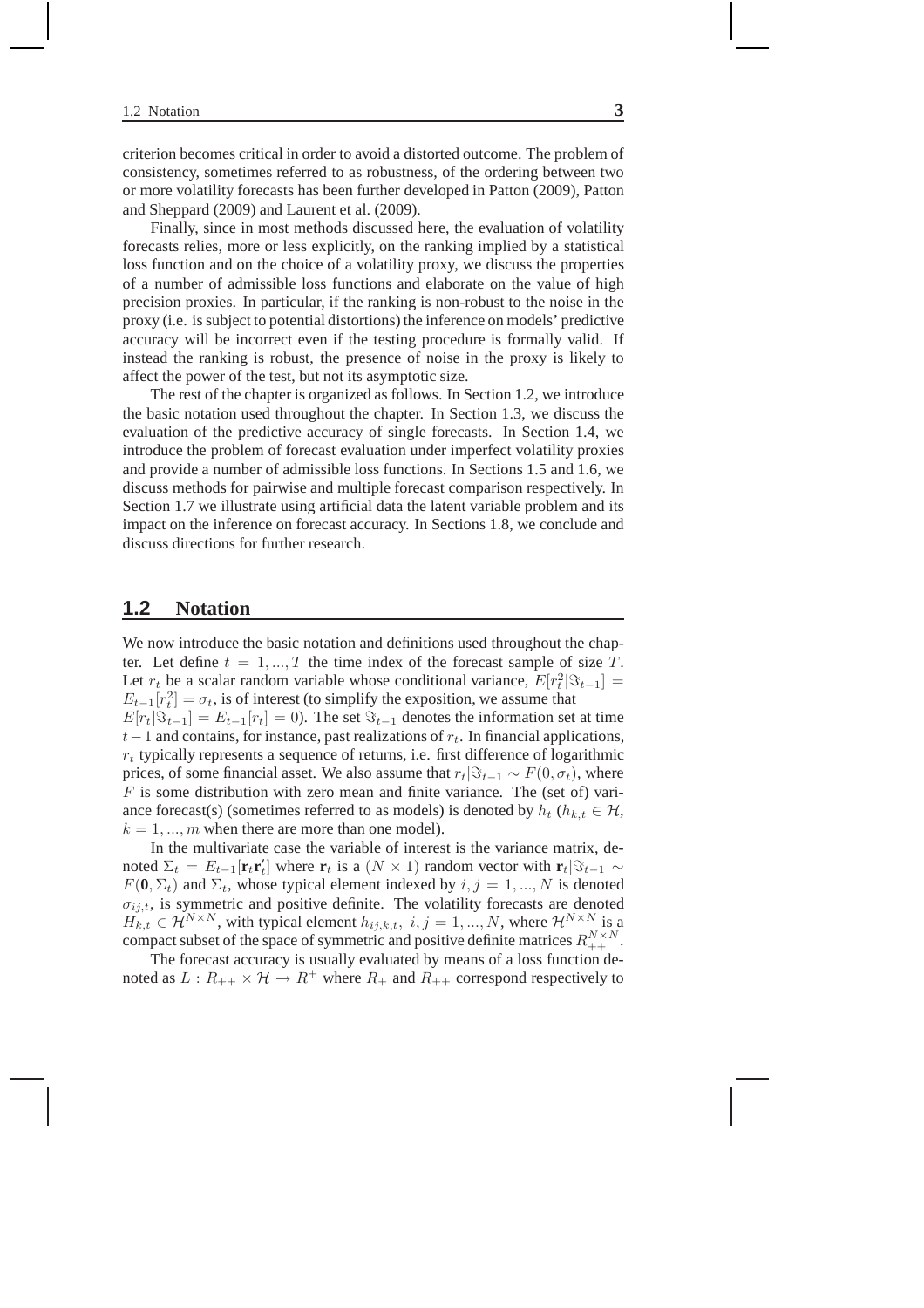criterion becomes critical in order to avoid a distorted outcome. The problem of consistency, sometimes referred to as robustness, of the ordering between two or more volatility forecasts has been further developed in Patton (2009), Patton and Sheppard (2009) and Laurent et al. (2009).

Finally, since in most methods discussed here, the evaluation of volatility forecasts relies, more or less explicitly, on the ranking implied by a statistical loss function and on the choice of a volatility proxy, we discuss the properties of a number of admissible loss functions and elaborate on the value of high precision proxies. In particular, if the ranking is non-robust to the noise in the proxy (i.e. is subject to potential distortions) the inference on models' predictive accuracy will be incorrect even if the testing procedure is formally valid. If instead the ranking is robust, the presence of noise in the proxy is likely to affect the power of the test, but not its asymptotic size.

The rest of the chapter is organized as follows. In Section 1.2, we introduce the basic notation used throughout the chapter. In Section 1.3, we discuss the evaluation of the predictive accuracy of single forecasts. In Section 1.4, we introduce the problem of forecast evaluation under imperfect volatility proxies and provide a number of admissible loss functions. In Sections 1.5 and 1.6, we discuss methods for pairwise and multiple forecast comparison respectively. In Section 1.7 we illustrate using artificial data the latent variable problem and its impact on the inference on forecast accuracy. In Sections 1.8, we conclude and discuss directions for further research.

#### **1.2 Notation**

We now introduce the basic notation and definitions used throughout the chapter. Let define  $t = 1, ..., T$  the time index of the forecast sample of size T. Let  $r_t$  be a scalar random variable whose conditional variance,  $E[r_t^2|\Im_{t-1}] =$  $E_{t-1}[r_t^2] = \sigma_t$ , is of interest (to simplify the exposition, we assume that  $E[r_t|\Im_{t-1}] = E_{t-1}[r_t] = 0$ . The set  $\Im_{t-1}$  denotes the information set at time  $t-1$  and contains, for instance, past realizations of  $r_t$ . In financial applications,  $r_t$  typically represents a sequence of returns, i.e. first difference of logarithmic prices, of some financial asset. We also assume that  $r_t|\Im_{t-1} \sim F(0, \sigma_t)$ , where  $F$  is some distribution with zero mean and finite variance. The (set of) variance forecast(s) (sometimes referred to as models) is denoted by  $h_t$  ( $h_{k,t} \in \mathcal{H}$ ,  $k = 1, \dots, m$  when there are more than one model).

In the multivariate case the variable of interest is the variance matrix, denoted  $\Sigma_t = E_{t-1}[\mathbf{r}_t \mathbf{r}'_t]$  where  $\mathbf{r}_t$  is a ( $N \times 1$ ) random vector with  $\mathbf{r}_t | \Im_{t-1} \sim$  $F(\mathbf{0}, \Sigma_t)$  and  $\Sigma_t$ , whose typical element indexed by  $i, j = 1, ..., N$  is denoted  $\sigma_{ij,t}$ , is symmetric and positive definite. The volatility forecasts are denoted  $H_{k,t} \in \mathcal{H}^{N \times N}$ , with typical element  $h_{ij,k,t}$ ,  $i, j = 1,...,N$ , where  $\mathcal{H}^{N \times N}$  is a compact subset of the space of symmetric and positive definite matrices  $R_{++}^{N \times N}$ .

The forecast accuracy is usually evaluated by means of a loss function denoted as  $L: R_{++} \times \mathcal{H} \to R^+$  where  $R_+$  and  $R_{++}$  correspond respectively to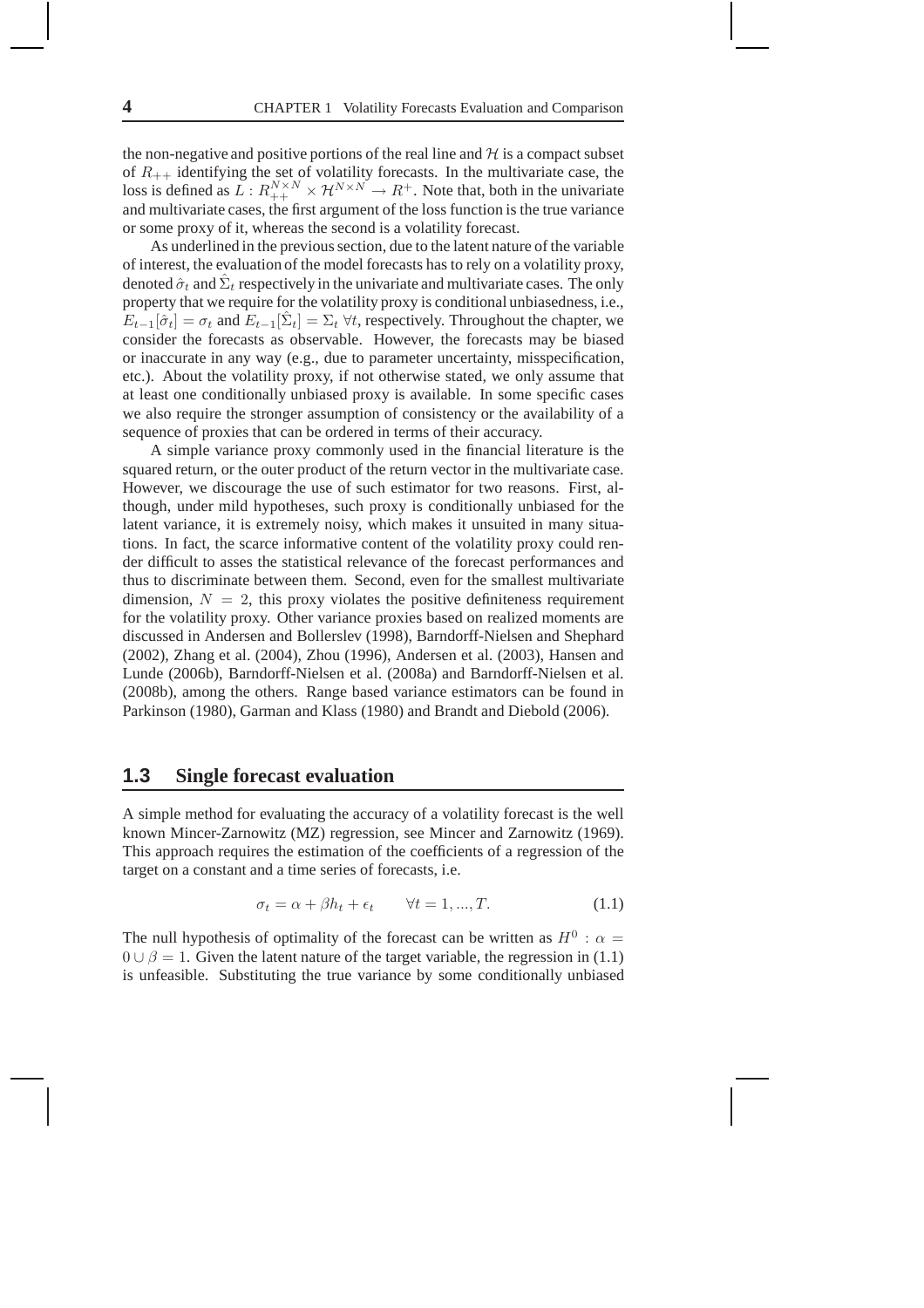the non-negative and positive portions of the real line and  $H$  is a compact subset of  $R_{++}$  identifying the set of volatility forecasts. In the multivariate case, the loss is defined as  $L: R_{++}^{N \times N} \times \mathcal{H}^{N \times N} \to R^+$ . Note that, both in the univariate and multivariate cases, the first argument of the loss function is the true variance or some proxy of it, whereas the second is a volatility forecast.

As underlined in the previous section, due to the latent nature of the variable of interest, the evaluation of the model forecasts has to rely on a volatility proxy, denoted  $\hat{\sigma}_t$  and  $\hat{\Sigma}_t$  respectively in the univariate and multivariate cases. The only property that we require for the volatility proxy is conditional unbiasedness, i.e.,  $E_{t-1}[\hat{\sigma}_t] = \sigma_t$  and  $E_{t-1}[\hat{\Sigma}_t] = \Sigma_t \ \forall t$ , respectively. Throughout the chapter, we consider the forecasts as observable. However, the forecasts may be biased or inaccurate in any way (e.g., due to parameter uncertainty, misspecification, etc.). About the volatility proxy, if not otherwise stated, we only assume that at least one conditionally unbiased proxy is available. In some specific cases we also require the stronger assumption of consistency or the availability of a sequence of proxies that can be ordered in terms of their accuracy.

A simple variance proxy commonly used in the financial literature is the squared return, or the outer product of the return vector in the multivariate case. However, we discourage the use of such estimator for two reasons. First, although, under mild hypotheses, such proxy is conditionally unbiased for the latent variance, it is extremely noisy, which makes it unsuited in many situations. In fact, the scarce informative content of the volatility proxy could render difficult to asses the statistical relevance of the forecast performances and thus to discriminate between them. Second, even for the smallest multivariate dimension,  $N = 2$ , this proxy violates the positive definiteness requirement for the volatility proxy. Other variance proxies based on realized moments are discussed in Andersen and Bollerslev (1998), Barndorff-Nielsen and Shephard (2002), Zhang et al. (2004), Zhou (1996), Andersen et al. (2003), Hansen and Lunde (2006b), Barndorff-Nielsen et al. (2008a) and Barndorff-Nielsen et al. (2008b), among the others. Range based variance estimators can be found in Parkinson (1980), Garman and Klass (1980) and Brandt and Diebold (2006).

#### **1.3 Single forecast evaluation**

A simple method for evaluating the accuracy of a volatility forecast is the well known Mincer-Zarnowitz (MZ) regression, see Mincer and Zarnowitz (1969). This approach requires the estimation of the coefficients of a regression of the target on a constant and a time series of forecasts, i.e.

$$
\sigma_t = \alpha + \beta h_t + \epsilon_t \qquad \forall t = 1, ..., T. \tag{1.1}
$$

The null hypothesis of optimality of the forecast can be written as  $H^0$ :  $\alpha =$  $0 \cup \beta = 1$ . Given the latent nature of the target variable, the regression in (1.1) is unfeasible. Substituting the true variance by some conditionally unbiased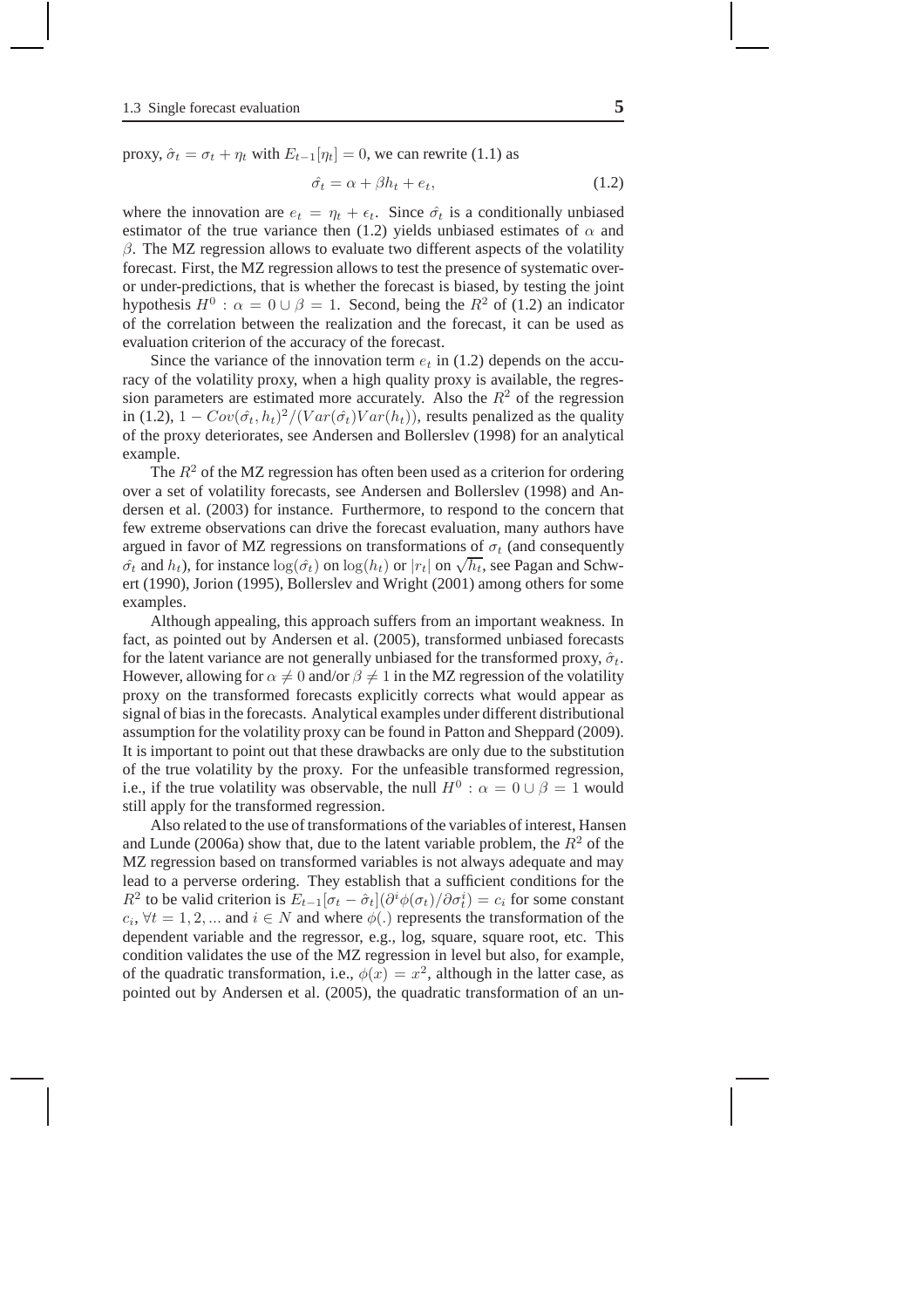proxy,  $\hat{\sigma}_t = \sigma_t + \eta_t$  with  $E_{t-1}[\eta_t] = 0$ , we can rewrite (1.1) as

$$
\hat{\sigma_t} = \alpha + \beta h_t + e_t, \tag{1.2}
$$

where the innovation are  $e_t = \eta_t + \epsilon_t$ . Since  $\hat{\sigma}_t$  is a conditionally unbiased estimator of the true variance then (1.2) yields unbiased estimates of  $\alpha$  and  $\beta$ . The MZ regression allows to evaluate two different aspects of the volatility forecast. First, the MZ regression allows to test the presence of systematic overor under-predictions, that is whether the forecast is biased, by testing the joint hypothesis  $H^0$ :  $\alpha = 0 \cup \beta = 1$ . Second, being the  $R^2$  of (1.2) an indicator of the correlation between the realization and the forecast, it can be used as evaluation criterion of the accuracy of the forecast.

Since the variance of the innovation term  $e_t$  in (1.2) depends on the accuracy of the volatility proxy, when a high quality proxy is available, the regression parameters are estimated more accurately. Also the  $R<sup>2</sup>$  of the regression in (1.2),  $1 - Cov(\hat{\sigma_t}, h_t)^2 / (Var(\hat{\sigma_t})Var(h_t))$ , results penalized as the quality of the proxy deteriorates, see Andersen and Bollerslev (1998) for an analytical example.

The  $R<sup>2</sup>$  of the MZ regression has often been used as a criterion for ordering over a set of volatility forecasts, see Andersen and Bollerslev (1998) and Andersen et al. (2003) for instance. Furthermore, to respond to the concern that few extreme observations can drive the forecast evaluation, many authors have argued in favor of MZ regressions on transformations of  $\sigma_t$  (and consequently  $\hat{\sigma}_t$  and  $h_t$ ), for instance  $\log(\hat{\sigma}_t)$  on  $\log(h_t)$  or  $|r_t|$  on  $\sqrt{h_t}$ , see Pagan and Schwert (1990), Jorion (1995), Bollerslev and Wright (2001) among others for some examples.

Although appealing, this approach suffers from an important weakness. In fact, as pointed out by Andersen et al. (2005), transformed unbiased forecasts for the latent variance are not generally unbiased for the transformed proxy,  $\hat{\sigma}_t$ . However, allowing for  $\alpha \neq 0$  and/or  $\beta \neq 1$  in the MZ regression of the volatility proxy on the transformed forecasts explicitly corrects what would appear as signal of bias in the forecasts. Analytical examples under different distributional assumption for the volatility proxy can be found in Patton and Sheppard (2009). It is important to point out that these drawbacks are only due to the substitution of the true volatility by the proxy. For the unfeasible transformed regression, i.e., if the true volatility was observable, the null  $H^0$ :  $\alpha = 0 \cup \beta = 1$  would still apply for the transformed regression.

Also related to the use of transformations of the variables of interest, Hansen and Lunde (2006a) show that, due to the latent variable problem, the  $R^2$  of the MZ regression based on transformed variables is not always adequate and may lead to a perverse ordering. They establish that a sufficient conditions for the  $R^2$  to be valid criterion is  $E_{t-1}[\sigma_t - \hat{\sigma}_t](\partial^i \phi(\sigma_t)/\partial \sigma_t^i) = c_i$  for some constant  $c_i$ ,  $\forall t = 1, 2, ...$  and  $i \in N$  and where  $\phi(.)$  represents the transformation of the dependent variable and the regressor, e.g., log, square, square root, etc. This condition validates the use of the MZ regression in level but also, for example, of the quadratic transformation, i.e.,  $\phi(x) = x^2$ , although in the latter case, as pointed out by Andersen et al. (2005), the quadratic transformation of an un-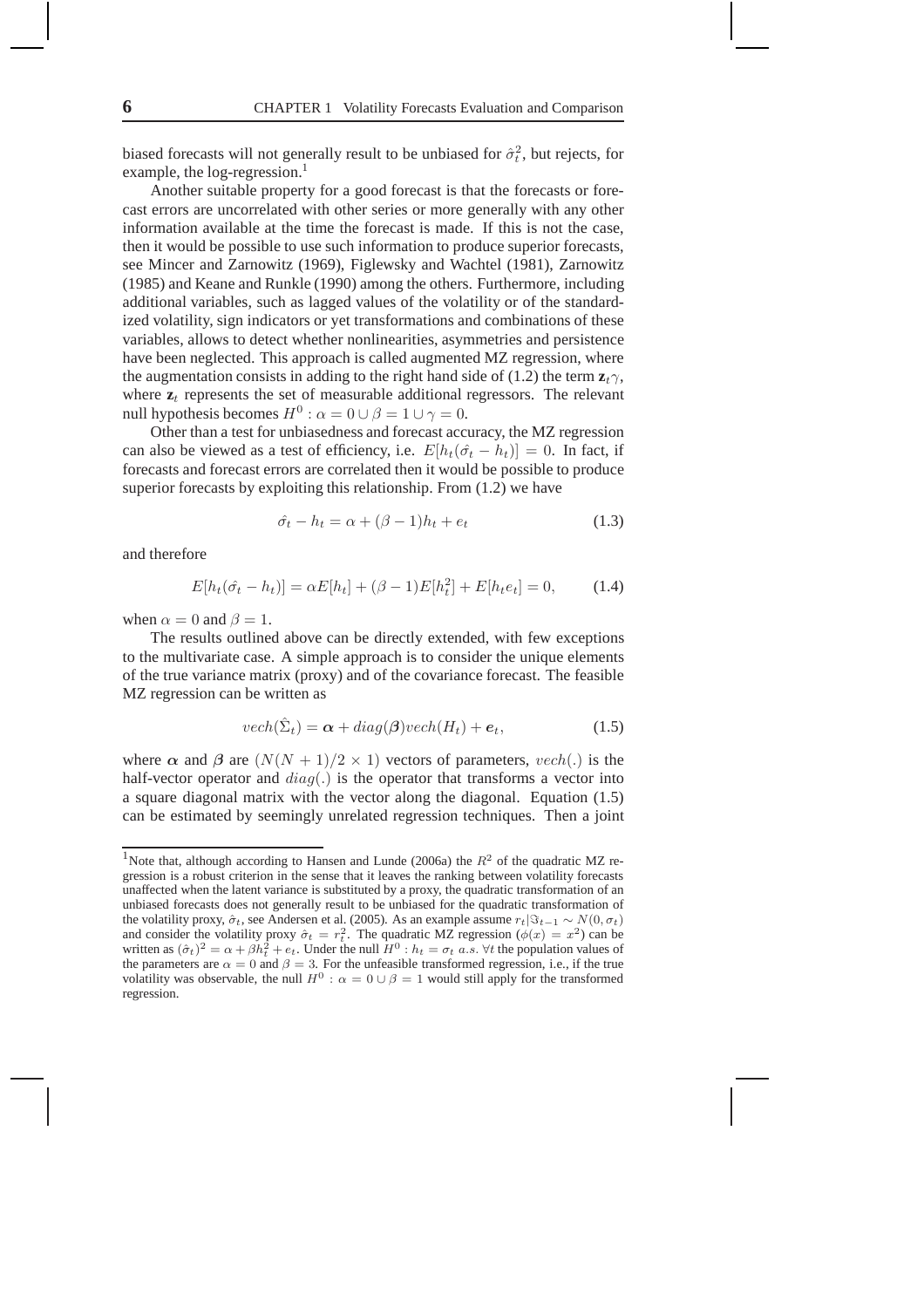biased forecasts will not generally result to be unbiased for  $\hat{\sigma}_t^2$ , but rejects, for example, the log-regression.<sup>1</sup>

Another suitable property for a good forecast is that the forecasts or forecast errors are uncorrelated with other series or more generally with any other information available at the time the forecast is made. If this is not the case, then it would be possible to use such information to produce superior forecasts, see Mincer and Zarnowitz (1969), Figlewsky and Wachtel (1981), Zarnowitz (1985) and Keane and Runkle (1990) among the others. Furthermore, including additional variables, such as lagged values of the volatility or of the standardized volatility, sign indicators or yet transformations and combinations of these variables, allows to detect whether nonlinearities, asymmetries and persistence have been neglected. This approach is called augmented MZ regression, where the augmentation consists in adding to the right hand side of (1.2) the term  $z_t$ <sub> $\gamma$ </sub>, where  $z_t$  represents the set of measurable additional regressors. The relevant null hypothesis becomes  $H^0$ :  $\alpha = 0 \cup \beta = 1 \cup \gamma = 0$ .

Other than a test for unbiasedness and forecast accuracy, the MZ regression can also be viewed as a test of efficiency, i.e.  $E[h_t(\hat{\sigma}_t - h_t)] = 0$ . In fact, if forecasts and forecast errors are correlated then it would be possible to produce superior forecasts by exploiting this relationship. From (1.2) we have

$$
\hat{\sigma}_t - h_t = \alpha + (\beta - 1)h_t + e_t \tag{1.3}
$$

and therefore

$$
E[h_t(\hat{\sigma}_t - h_t)] = \alpha E[h_t] + (\beta - 1)E[h_t^2] + E[h_t e_t] = 0,
$$
 (1.4)

when  $\alpha = 0$  and  $\beta = 1$ .

The results outlined above can be directly extended, with few exceptions to the multivariate case. A simple approach is to consider the unique elements of the true variance matrix (proxy) and of the covariance forecast. The feasible MZ regression can be written as

$$
vech(\hat{\Sigma}_t) = \alpha + diag(\beta)vech(H_t) + e_t,
$$
\n(1.5)

where  $\alpha$  and  $\beta$  are  $(N(N + 1)/2 \times 1)$  vectors of parameters, vech(.) is the half-vector operator and  $diag(.)$  is the operator that transforms a vector into a square diagonal matrix with the vector along the diagonal. Equation (1.5) can be estimated by seemingly unrelated regression techniques. Then a joint

<sup>&</sup>lt;sup>1</sup>Note that, although according to Hansen and Lunde (2006a) the  $R^2$  of the quadratic MZ regression is a robust criterion in the sense that it leaves the ranking between volatility forecasts unaffected when the latent variance is substituted by a proxy, the quadratic transformation of an unbiased forecasts does not generally result to be unbiased for the quadratic transformation of the volatility proxy,  $\hat{\sigma}_t$ , see Andersen et al. (2005). As an example assume  $r_t|\Im_{t-1} \sim N(0, \sigma_t)$ and consider the volatility proxy  $\hat{\sigma}_t = r_t^2$ . The quadratic MZ regression ( $\phi(x) = x^2$ ) can be written as  $(\hat{\sigma}_t)^2 = \alpha + \beta h_t^2 + e_t$ . Under the null  $H^0 : h_t = \sigma_t a.s.$   $\forall t$  the population values of the parameters are  $\alpha = 0$  and  $\beta = 3$ . For the unfeasible transformed regression, i.e., if the true volatility was observable, the null  $H^0$ :  $\alpha = 0 \cup \beta = 1$  would still apply for the transformed regression.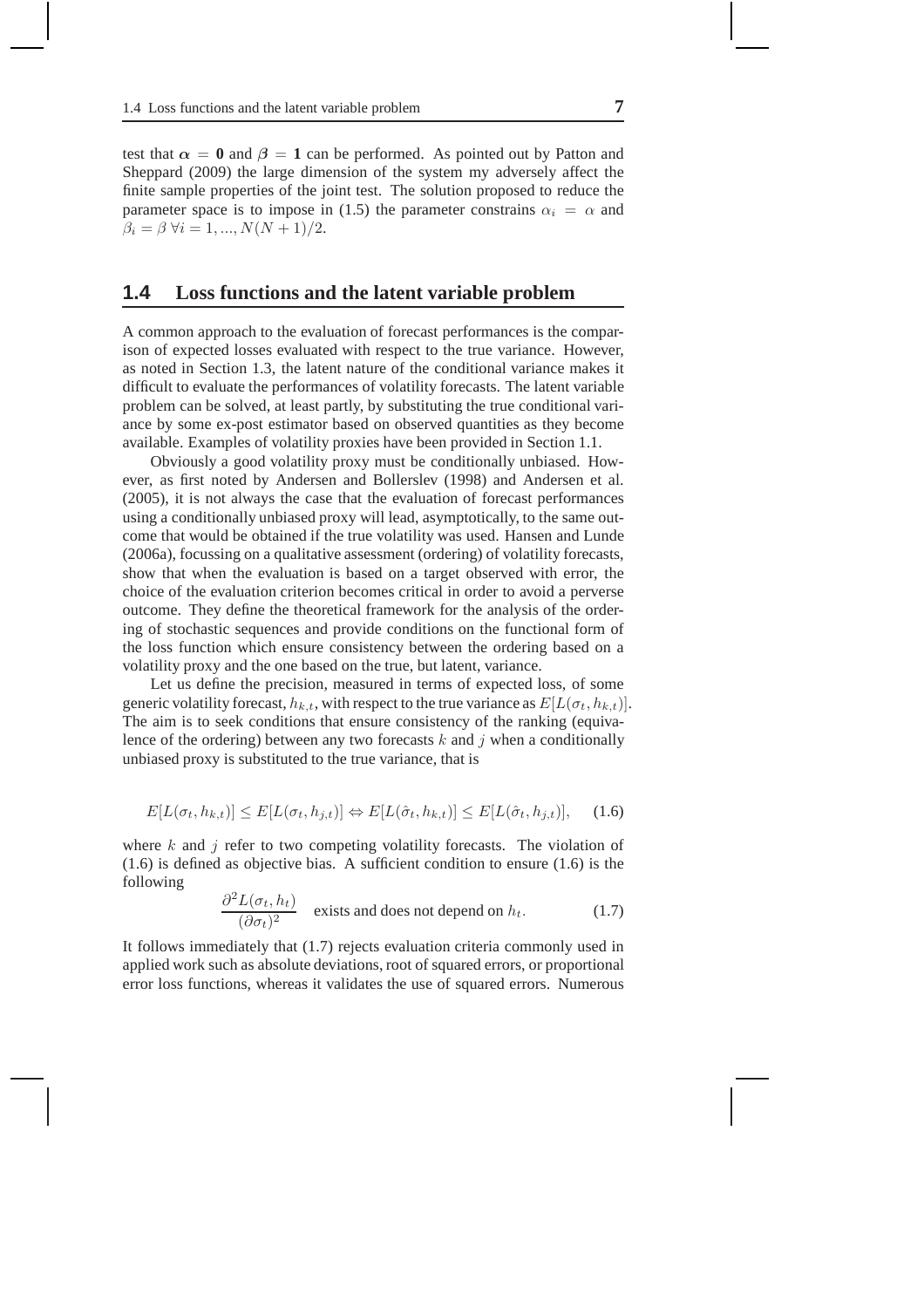test that  $\alpha = 0$  and  $\beta = 1$  can be performed. As pointed out by Patton and Sheppard (2009) the large dimension of the system my adversely affect the finite sample properties of the joint test. The solution proposed to reduce the parameter space is to impose in (1.5) the parameter constrains  $\alpha_i = \alpha$  and  $\beta_i = \beta \,\forall i = 1, ..., N(N+1)/2.$ 

#### **1.4 Loss functions and the latent variable problem**

A common approach to the evaluation of forecast performances is the comparison of expected losses evaluated with respect to the true variance. However, as noted in Section 1.3, the latent nature of the conditional variance makes it difficult to evaluate the performances of volatility forecasts. The latent variable problem can be solved, at least partly, by substituting the true conditional variance by some ex-post estimator based on observed quantities as they become available. Examples of volatility proxies have been provided in Section 1.1.

Obviously a good volatility proxy must be conditionally unbiased. However, as first noted by Andersen and Bollerslev (1998) and Andersen et al. (2005), it is not always the case that the evaluation of forecast performances using a conditionally unbiased proxy will lead, asymptotically, to the same outcome that would be obtained if the true volatility was used. Hansen and Lunde (2006a), focussing on a qualitative assessment (ordering) of volatility forecasts, show that when the evaluation is based on a target observed with error, the choice of the evaluation criterion becomes critical in order to avoid a perverse outcome. They define the theoretical framework for the analysis of the ordering of stochastic sequences and provide conditions on the functional form of the loss function which ensure consistency between the ordering based on a volatility proxy and the one based on the true, but latent, variance.

Let us define the precision, measured in terms of expected loss, of some generic volatility forecast,  $h_{k,t}$ , with respect to the true variance as  $E[L(\sigma_t, h_{k,t})]$ . The aim is to seek conditions that ensure consistency of the ranking (equivalence of the ordering) between any two forecasts  $k$  and  $j$  when a conditionally unbiased proxy is substituted to the true variance, that is

$$
E[L(\sigma_t, h_{k,t})] \le E[L(\sigma_t, h_{j,t})] \Leftrightarrow E[L(\hat{\sigma}_t, h_{k,t})] \le E[L(\hat{\sigma}_t, h_{j,t})], \quad (1.6)
$$

where  $k$  and  $i$  refer to two competing volatility forecasts. The violation of (1.6) is defined as objective bias. A sufficient condition to ensure (1.6) is the following

$$
\frac{\partial^2 L(\sigma_t, h_t)}{(\partial \sigma_t)^2}
$$
 exists and does not depend on  $h_t$ . (1.7)

It follows immediately that (1.7) rejects evaluation criteria commonly used in applied work such as absolute deviations, root of squared errors, or proportional error loss functions, whereas it validates the use of squared errors. Numerous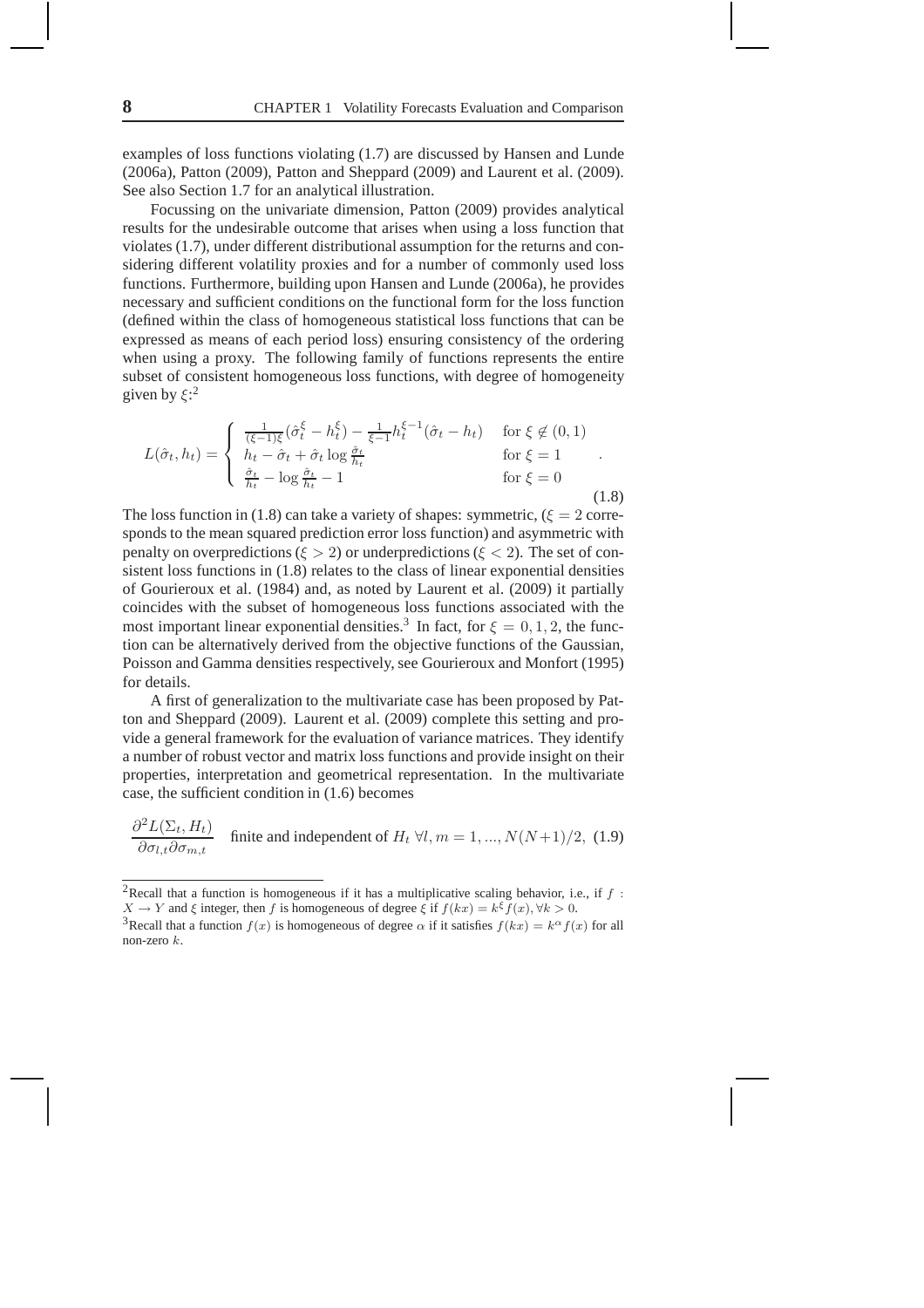examples of loss functions violating (1.7) are discussed by Hansen and Lunde (2006a), Patton (2009), Patton and Sheppard (2009) and Laurent et al. (2009). See also Section 1.7 for an analytical illustration.

Focussing on the univariate dimension, Patton (2009) provides analytical results for the undesirable outcome that arises when using a loss function that violates (1.7), under different distributional assumption for the returns and considering different volatility proxies and for a number of commonly used loss functions. Furthermore, building upon Hansen and Lunde (2006a), he provides necessary and sufficient conditions on the functional form for the loss function (defined within the class of homogeneous statistical loss functions that can be expressed as means of each period loss) ensuring consistency of the ordering when using a proxy. The following family of functions represents the entire subset of consistent homogeneous loss functions, with degree of homogeneity given by  $\xi$ :<sup>2</sup>

$$
L(\hat{\sigma}_t, h_t) = \begin{cases} \frac{1}{(\xi - 1)\xi} (\hat{\sigma}_t^{\xi} - h_t^{\xi}) - \frac{1}{\xi - 1} h_t^{\xi - 1} (\hat{\sigma}_t - h_t) & \text{for } \xi \notin (0, 1) \\ h_t - \hat{\sigma}_t + \hat{\sigma}_t \log \frac{\hat{\sigma}_t}{h_t} & \text{for } \xi = 1 \\ \frac{\hat{\sigma}_t}{h_t} - \log \frac{\hat{\sigma}_t}{h_t} - 1 & \text{for } \xi = 0 \end{cases}
$$
(1.8)

The loss function in (1.8) can take a variety of shapes: symmetric, ( $\xi = 2$  corresponds to the mean squared prediction error loss function) and asymmetric with penalty on overpredictions ( $\xi > 2$ ) or underpredictions ( $\xi < 2$ ). The set of consistent loss functions in (1.8) relates to the class of linear exponential densities of Gourieroux et al. (1984) and, as noted by Laurent et al. (2009) it partially coincides with the subset of homogeneous loss functions associated with the most important linear exponential densities.<sup>3</sup> In fact, for  $\xi = 0, 1, 2$ , the function can be alternatively derived from the objective functions of the Gaussian, Poisson and Gamma densities respectively, see Gourieroux and Monfort (1995) for details.

A first of generalization to the multivariate case has been proposed by Patton and Sheppard (2009). Laurent et al. (2009) complete this setting and provide a general framework for the evaluation of variance matrices. They identify a number of robust vector and matrix loss functions and provide insight on their properties, interpretation and geometrical representation. In the multivariate case, the sufficient condition in (1.6) becomes

$$
\frac{\partial^2 L(\Sigma_t, H_t)}{\partial \sigma_{l,t} \partial \sigma_{m,t}}
$$
 finite and independent of  $H_t \,\forall l, m = 1, ..., N(N+1)/2$ , (1.9)

<sup>&</sup>lt;sup>2</sup>Recall that a function is homogeneous if it has a multiplicative scaling behavior, i.e., if  $f$ :  $X \to Y$  and  $\xi$  integer, then f is homogeneous of degree  $\xi$  if  $f(kx) = k^{\xi} \overline{f}(x), \forall k > 0$ .

<sup>&</sup>lt;sup>3</sup>Recall that a function  $f(x)$  is homogeneous of degree  $\alpha$  if it satisfies  $f(kx) = k^{\alpha} f(x)$  for all non-zero k.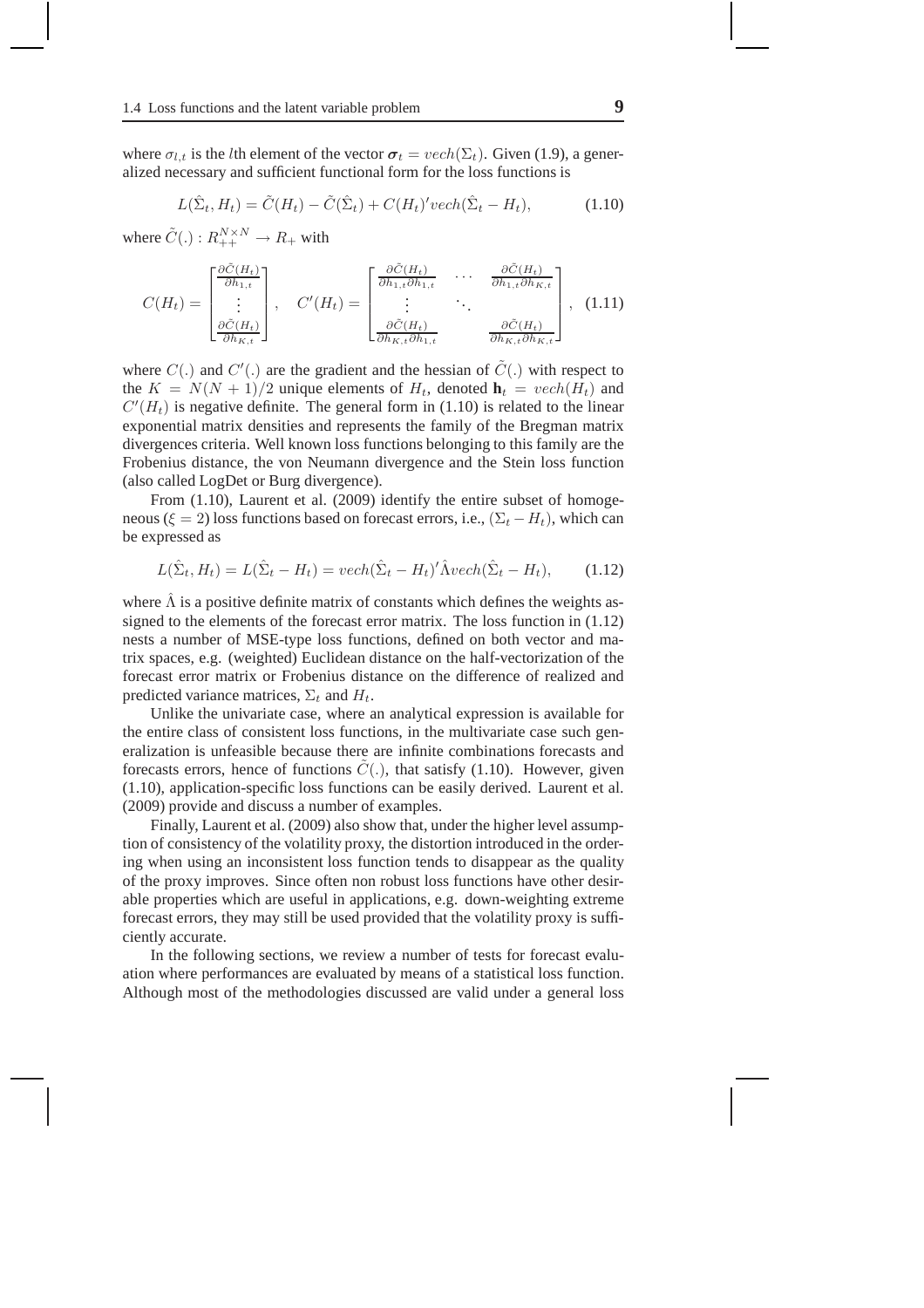where  $\sigma_{l,t}$  is the *l*th element of the vector  $\sigma_t = vech(\Sigma_t)$ . Given (1.9), a generalized necessary and sufficient functional form for the loss functions is

$$
L(\hat{\Sigma}_t, H_t) = \tilde{C}(H_t) - \tilde{C}(\hat{\Sigma}_t) + C(H_t)' \text{vech}(\hat{\Sigma}_t - H_t), \tag{1.10}
$$

where  $\tilde{C}(.): R_{++}^{N \times N} \to R_+$  with

$$
C(H_t) = \begin{bmatrix} \frac{\partial \tilde{C}(H_t)}{\partial h_{1,t}} \\ \vdots \\ \frac{\partial \tilde{C}(H_t)}{\partial h_{K,t}} \end{bmatrix}, \quad C'(H_t) = \begin{bmatrix} \frac{\partial \tilde{C}(H_t)}{\partial h_{1,t} \partial h_{1,t}} & \cdots & \frac{\partial \tilde{C}(H_t)}{\partial h_{1,t} \partial h_{K,t}} \\ \vdots & \ddots \\ \frac{\partial \tilde{C}(H_t)}{\partial h_{K,t} \partial h_{1,t}} & \frac{\partial \tilde{C}(H_t)}{\partial h_{K,t} \partial h_{K,t}} \end{bmatrix}, \quad (1.11)
$$

where  $C(.)$  and  $C'(.)$  are the gradient and the hessian of  $\tilde{C}(.)$  with respect to the  $K = N(N + 1)/2$  unique elements of  $H_t$ , denoted  $\mathbf{h}_t = vech(H_t)$  and  $C'(H_t)$  is negative definite. The general form in (1.10) is related to the linear exponential matrix densities and represents the family of the Bregman matrix divergences criteria. Well known loss functions belonging to this family are the Frobenius distance, the von Neumann divergence and the Stein loss function (also called LogDet or Burg divergence).

From (1.10), Laurent et al. (2009) identify the entire subset of homogeneous ( $\xi = 2$ ) loss functions based on forecast errors, i.e.,  $(\Sigma_t - H_t)$ , which can be expressed as

$$
L(\hat{\Sigma}_t, H_t) = L(\hat{\Sigma}_t - H_t) = vech(\hat{\Sigma}_t - H_t)'\hat{\Lambda} vech(\hat{\Sigma}_t - H_t), \quad (1.12)
$$

where  $\hat{\Lambda}$  is a positive definite matrix of constants which defines the weights assigned to the elements of the forecast error matrix. The loss function in (1.12) nests a number of MSE-type loss functions, defined on both vector and matrix spaces, e.g. (weighted) Euclidean distance on the half-vectorization of the forecast error matrix or Frobenius distance on the difference of realized and predicted variance matrices,  $\Sigma_t$  and  $H_t$ .

Unlike the univariate case, where an analytical expression is available for the entire class of consistent loss functions, in the multivariate case such generalization is unfeasible because there are infinite combinations forecasts and forecasts errors, hence of functions  $C(.)$ , that satisfy (1.10). However, given (1.10), application-specific loss functions can be easily derived. Laurent et al. (2009) provide and discuss a number of examples.

Finally, Laurent et al. (2009) also show that, under the higher level assumption of consistency of the volatility proxy, the distortion introduced in the ordering when using an inconsistent loss function tends to disappear as the quality of the proxy improves. Since often non robust loss functions have other desirable properties which are useful in applications, e.g. down-weighting extreme forecast errors, they may still be used provided that the volatility proxy is sufficiently accurate.

In the following sections, we review a number of tests for forecast evaluation where performances are evaluated by means of a statistical loss function. Although most of the methodologies discussed are valid under a general loss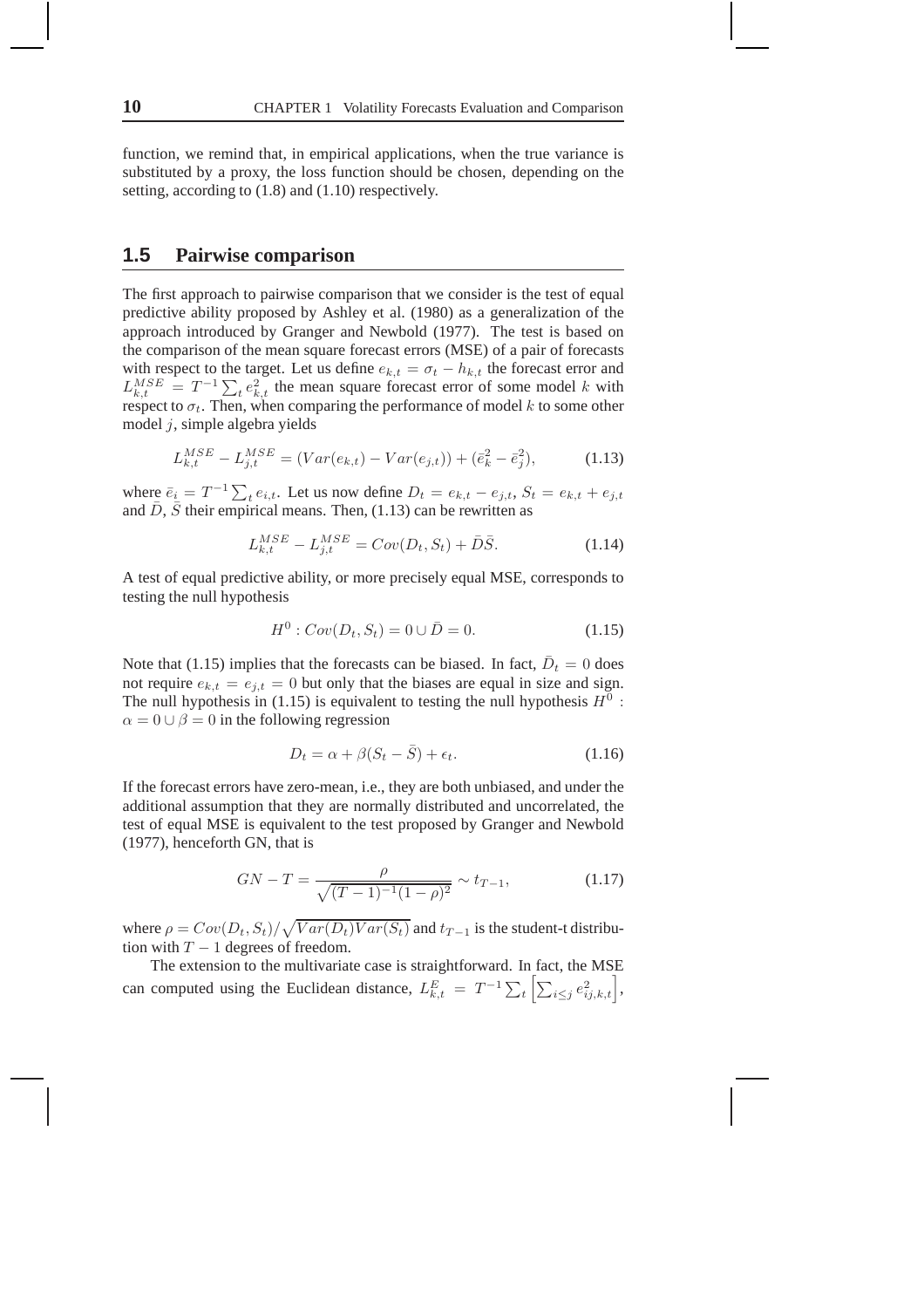function, we remind that, in empirical applications, when the true variance is substituted by a proxy, the loss function should be chosen, depending on the setting, according to (1.8) and (1.10) respectively.

#### **1.5 Pairwise comparison**

The first approach to pairwise comparison that we consider is the test of equal predictive ability proposed by Ashley et al. (1980) as a generalization of the approach introduced by Granger and Newbold (1977). The test is based on the comparison of the mean square forecast errors (MSE) of a pair of forecasts with respect to the target. Let us define  $e_{k,t} = \sigma_t - h_{k,t}$  the forecast error and  $L_{k,t}^{MSE} = T^{-1} \sum_t e_{k,t}^2$  the mean square forecast error of some model k with respect to  $\sigma_t$ . Then, when comparing the performance of model k to some other model j, simple algebra yields

$$
L_{k,t}^{MSE} - L_{j,t}^{MSE} = (Var(e_{k,t}) - Var(e_{j,t})) + (\bar{e}_k^2 - \bar{e}_j^2), \tag{1.13}
$$

where  $\overline{e}_i = T^{-1} \sum_t e_{i,t}$ . Let us now define  $D_t = e_{k,t} - e_{j,t}$ ,  $S_t = e_{k,t} + e_{j,t}$ and  $\bar{D}$ ,  $\bar{S}$  their empirical means. Then, (1.13) can be rewritten as

$$
L_{k,t}^{MSE} - L_{j,t}^{MSE} = Cov(D_t, S_t) + \bar{D}\bar{S}.
$$
 (1.14)

A test of equal predictive ability, or more precisely equal MSE, corresponds to testing the null hypothesis

$$
H^{0}:Cov(D_{t}, S_{t}) = 0 \cup \bar{D} = 0.
$$
 (1.15)

Note that (1.15) implies that the forecasts can be biased. In fact,  $\bar{D}_t = 0$  does not require  $e_{k,t} = e_{j,t} = 0$  but only that the biases are equal in size and sign. The null hypothesis in (1.15) is equivalent to testing the null hypothesis  $H^0$ :  $\alpha = 0 \cup \beta = 0$  in the following regression

$$
D_t = \alpha + \beta (S_t - \bar{S}) + \epsilon_t.
$$
 (1.16)

If the forecast errors have zero-mean, i.e., they are both unbiased, and under the additional assumption that they are normally distributed and uncorrelated, the test of equal MSE is equivalent to the test proposed by Granger and Newbold (1977), henceforth GN, that is

$$
GN - T = \frac{\rho}{\sqrt{(T - 1)^{-1}(1 - \rho)^2}} \sim t_{T - 1},
$$
\n(1.17)

where  $\rho = Cov(D_t, S_t) / \sqrt{Var(D_t) Var(S_t)}$  and  $t_{T-1}$  is the student-t distribution with  $T - 1$  degrees of freedom.

The extension to the multivariate case is straightforward. In fact, the MSE can computed using the Euclidean distance,  $L_{k,t}^E = T^{-1} \sum_t \left[ \sum_{i \leq j} e_{ij,k,t}^2 \right],$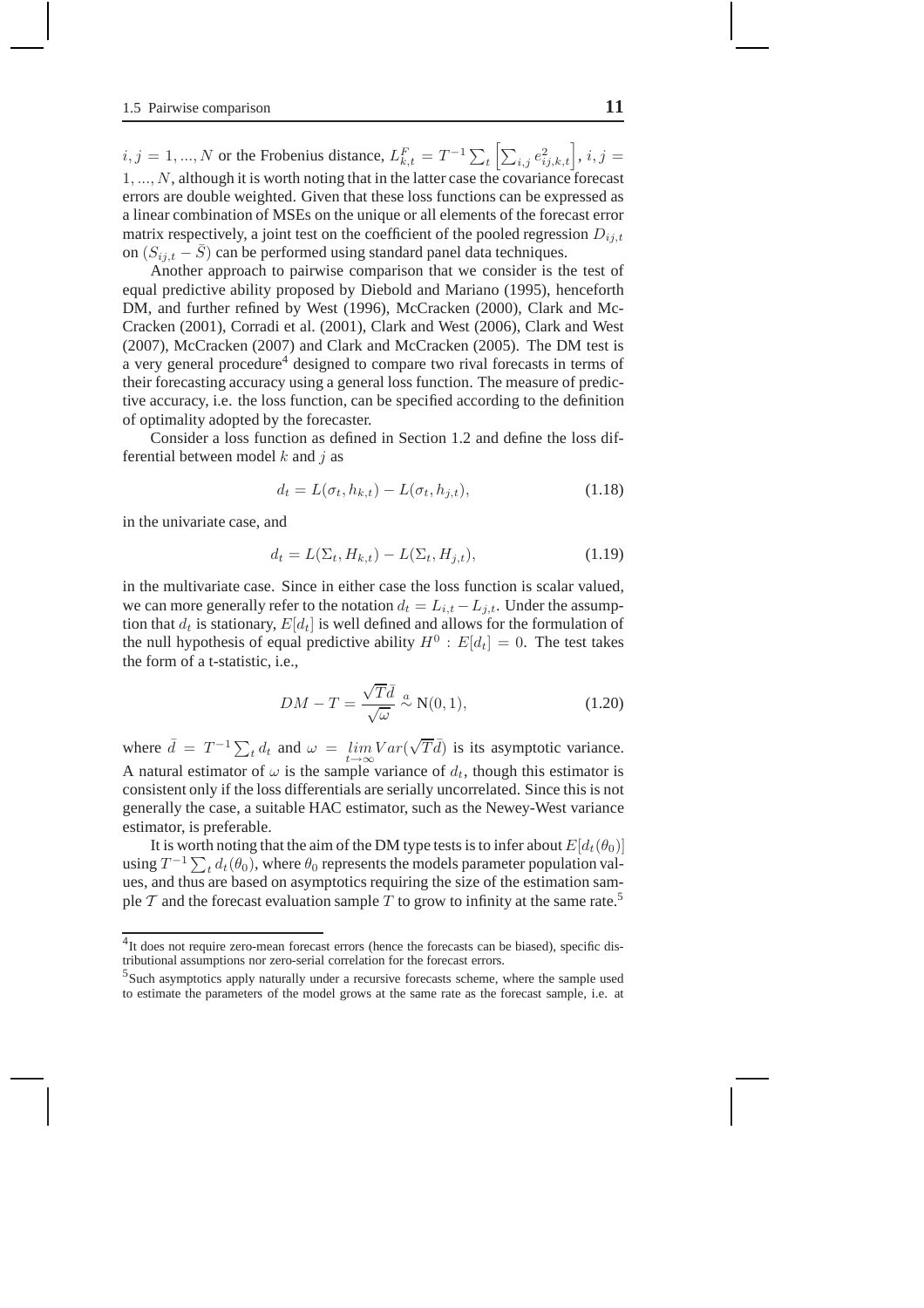$i, j = 1, ..., N$  or the Frobenius distance,  $L_{k,t}^F = T^{-1} \sum_t \left[ \sum_{i,j} e_{ij,k,t}^2 \right], i, j =$  $1, \ldots, N$ , although it is worth noting that in the latter case the covariance forecast errors are double weighted. Given that these loss functions can be expressed as a linear combination of MSEs on the unique or all elements of the forecast error matrix respectively, a joint test on the coefficient of the pooled regression  $D_{i,i,t}$ on  $(S_{ij,t} - \overline{S})$  can be performed using standard panel data techniques.

Another approach to pairwise comparison that we consider is the test of equal predictive ability proposed by Diebold and Mariano (1995), henceforth DM, and further refined by West (1996), McCracken (2000), Clark and Mc-Cracken (2001), Corradi et al. (2001), Clark and West (2006), Clark and West (2007), McCracken (2007) and Clark and McCracken (2005). The DM test is a very general procedure<sup>4</sup> designed to compare two rival forecasts in terms of their forecasting accuracy using a general loss function. The measure of predictive accuracy, i.e. the loss function, can be specified according to the definition of optimality adopted by the forecaster.

Consider a loss function as defined in Section 1.2 and define the loss differential between model  $k$  and  $j$  as

$$
d_t = L(\sigma_t, h_{k,t}) - L(\sigma_t, h_{j,t}), \qquad (1.18)
$$

in the univariate case, and

$$
d_t = L(\Sigma_t, H_{k,t}) - L(\Sigma_t, H_{j,t}),
$$
\n(1.19)

in the multivariate case. Since in either case the loss function is scalar valued, we can more generally refer to the notation  $d_t = L_{i,t} - L_{i,t}$ . Under the assumption that  $d_t$  is stationary,  $E[d_t]$  is well defined and allows for the formulation of the null hypothesis of equal predictive ability  $H^0 : E[d_t] = 0$ . The test takes the form of a t-statistic, i.e.,

$$
DM - T = \frac{\sqrt{Td}}{\sqrt{\omega}} \stackrel{a}{\sim} \mathcal{N}(0, 1), \tag{1.20}
$$

where  $\bar{d} = T^{-1} \sum_t d_t$  and  $\omega = \lim_{t \to \infty} Var(\sqrt{T} \bar{d})$  is its asymptotic variance. A natural estimator of  $\omega$  is the sample variance of  $d_t$ , though this estimator is consistent only if the loss differentials are serially uncorrelated. Since this is not generally the case, a suitable HAC estimator, such as the Newey-West variance estimator, is preferable.

It is worth noting that the aim of the DM type tests is to infer about  $E[d_t(\theta_0)]$ using  $T^{-1} \sum_t d_t(\theta_0)$ , where  $\theta_0$  represents the models parameter population values, and thus are based on asymptotics requiring the size of the estimation sample T and the forecast evaluation sample T to grow to infinity at the same rate.<sup>5</sup>

<sup>&</sup>lt;sup>4</sup>It does not require zero-mean forecast errors (hence the forecasts can be biased), specific distributional assumptions nor zero-serial correlation for the forecast errors.

<sup>&</sup>lt;sup>5</sup> Such asymptotics apply naturally under a recursive forecasts scheme, where the sample used to estimate the parameters of the model grows at the same rate as the forecast sample, i.e. at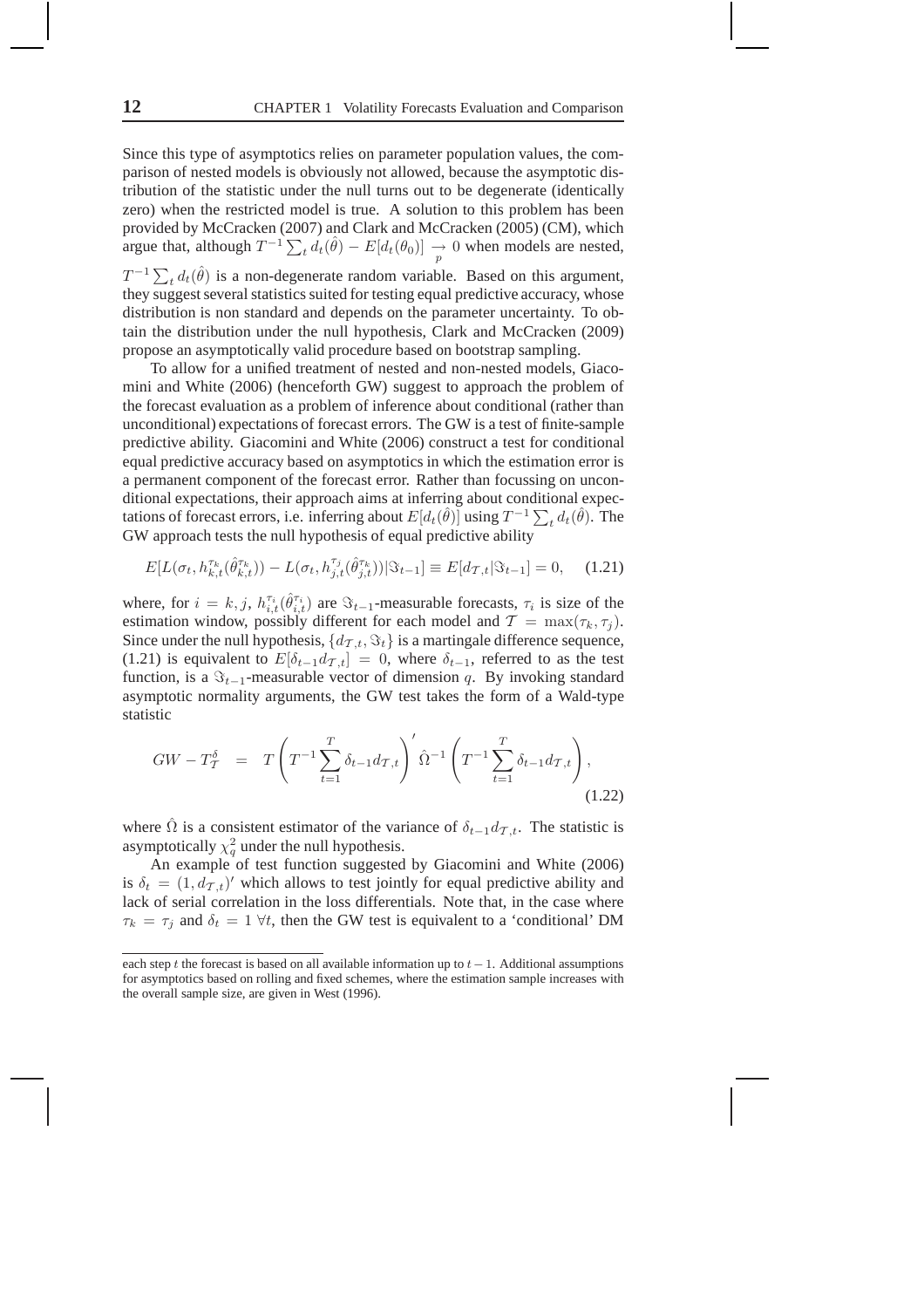Since this type of asymptotics relies on parameter population values, the comparison of nested models is obviously not allowed, because the asymptotic distribution of the statistic under the null turns out to be degenerate (identically zero) when the restricted model is true. A solution to this problem has been provided by McCracken (2007) and Clark and McCracken (2005) (CM), which argue that, although  $T^{-1} \sum_t d_t(\hat{\theta}) - E[d_t(\theta_0)] \rightarrow 0$  when models are nested,  $T^{-1} \sum_t d_t(\hat{\theta})$  is a non-degenerate random variable. Based on this argument,

they suggest several statistics suited for testing equal predictive accuracy, whose distribution is non standard and depends on the parameter uncertainty. To obtain the distribution under the null hypothesis, Clark and McCracken (2009) propose an asymptotically valid procedure based on bootstrap sampling.

To allow for a unified treatment of nested and non-nested models, Giacomini and White (2006) (henceforth GW) suggest to approach the problem of the forecast evaluation as a problem of inference about conditional (rather than unconditional) expectations of forecast errors. The GW is a test of finite-sample predictive ability. Giacomini and White (2006) construct a test for conditional equal predictive accuracy based on asymptotics in which the estimation error is a permanent component of the forecast error. Rather than focussing on unconditional expectations, their approach aims at inferring about conditional expectations of forecast errors, i.e. inferring about  $E[d_t(\hat{\theta})]$  using  $T^{-1}\sum_t d_t(\hat{\theta})$ . The GW approach tests the null hypothesis of equal predictive ability

$$
E[L(\sigma_t, h_{k,t}^{\tau_k}(\hat{\theta}_{k,t}^{\tau_k})) - L(\sigma_t, h_{j,t}^{\tau_j}(\hat{\theta}_{j,t}^{\tau_k})) | \Im_{t-1}] \equiv E[d_{\mathcal{T},t} | \Im_{t-1}] = 0, \quad (1.21)
$$

where, for  $i = k, j, h_{i,t}^{\tau_i}(\hat{\theta}_{i,t}^{\tau_i})$  are  $\Im_{t-1}$ -measurable forecasts,  $\tau_i$  is size of the estimation window, possibly different for each model and  $\mathcal{T} = \max(\tau_k, \tau_i)$ . Since under the null hypothesis,  $\{d_{\mathcal{T},t}, \Im_t\}$  is a martingale difference sequence, (1.21) is equivalent to  $E[\delta_{t-1}d_{T,t}] = 0$ , where  $\delta_{t-1}$ , referred to as the test function, is a  $\Im_{t-1}$ -measurable vector of dimension q. By invoking standard asymptotic normality arguments, the GW test takes the form of a Wald-type statistic

$$
GW - T_T^{\delta} = T \left( T^{-1} \sum_{t=1}^{T} \delta_{t-1} d_{T,t} \right)^{\prime} \hat{\Omega}^{-1} \left( T^{-1} \sum_{t=1}^{T} \delta_{t-1} d_{T,t} \right), \tag{1.22}
$$

where  $\hat{\Omega}$  is a consistent estimator of the variance of  $\delta_{t-1}d_{\mathcal{T},t}$ . The statistic is asymptotically  $\chi_q^2$  under the null hypothesis.

An example of test function suggested by Giacomini and White (2006) is  $\delta_t = (1, d_{\mathcal{T},t})'$  which allows to test jointly for equal predictive ability and lack of serial correlation in the loss differentials. Note that, in the case where  $\tau_k = \tau_j$  and  $\delta_t = 1 \forall t$ , then the GW test is equivalent to a 'conditional' DM

each step t the forecast is based on all available information up to  $t - 1$ . Additional assumptions for asymptotics based on rolling and fixed schemes, where the estimation sample increases with the overall sample size, are given in West (1996).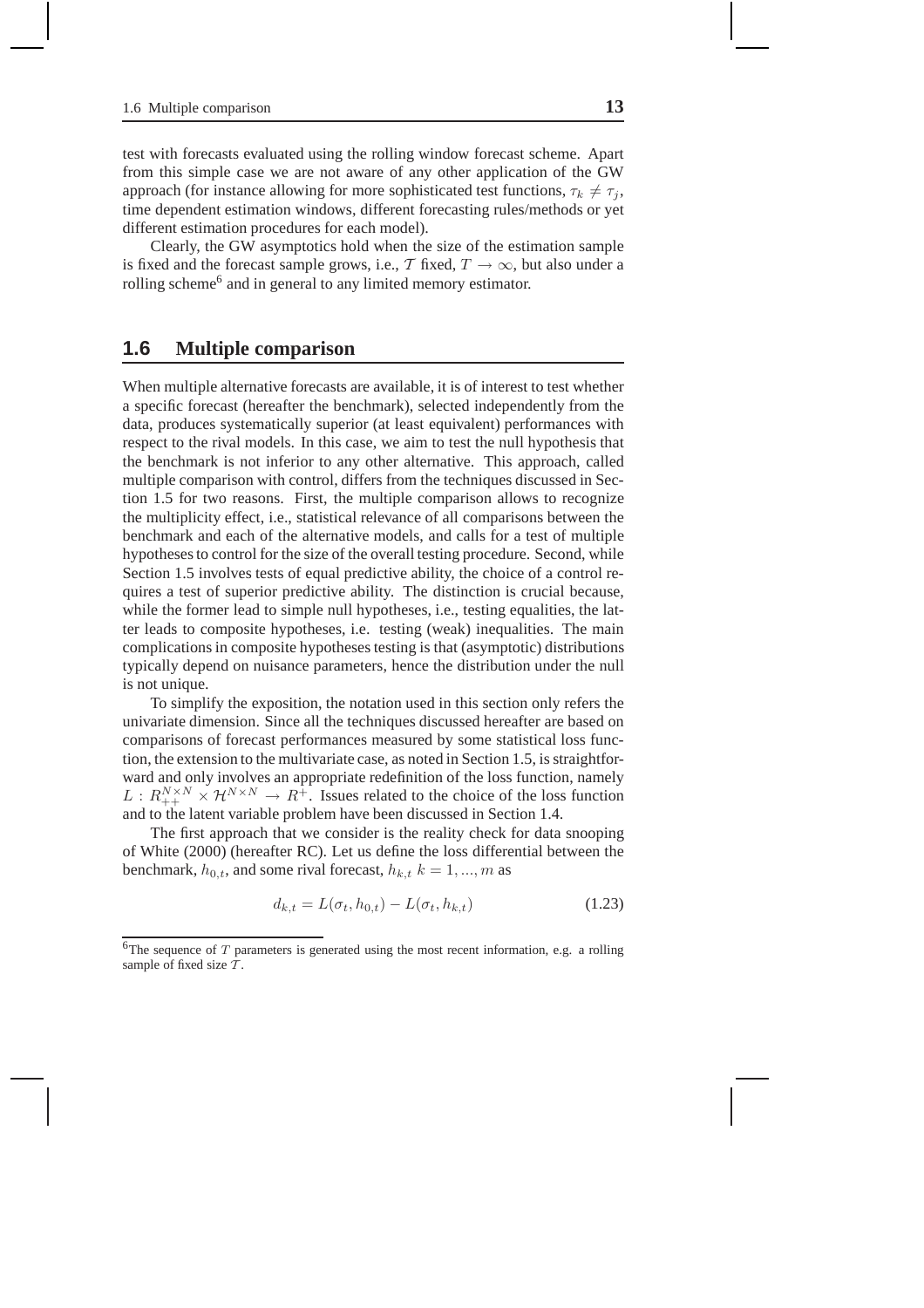test with forecasts evaluated using the rolling window forecast scheme. Apart from this simple case we are not aware of any other application of the GW approach (for instance allowing for more sophisticated test functions,  $\tau_k \neq \tau_j$ , time dependent estimation windows, different forecasting rules/methods or yet different estimation procedures for each model).

Clearly, the GW asymptotics hold when the size of the estimation sample is fixed and the forecast sample grows, i.e., T fixed,  $T \to \infty$ , but also under a rolling scheme<sup>6</sup> and in general to any limited memory estimator.

#### **1.6 Multiple comparison**

When multiple alternative forecasts are available, it is of interest to test whether a specific forecast (hereafter the benchmark), selected independently from the data, produces systematically superior (at least equivalent) performances with respect to the rival models. In this case, we aim to test the null hypothesis that the benchmark is not inferior to any other alternative. This approach, called multiple comparison with control, differs from the techniques discussed in Section 1.5 for two reasons. First, the multiple comparison allows to recognize the multiplicity effect, i.e., statistical relevance of all comparisons between the benchmark and each of the alternative models, and calls for a test of multiple hypotheses to control for the size of the overall testing procedure. Second, while Section 1.5 involves tests of equal predictive ability, the choice of a control requires a test of superior predictive ability. The distinction is crucial because, while the former lead to simple null hypotheses, *i.e.*, testing equalities, the latter leads to composite hypotheses, i.e. testing (weak) inequalities. The main complications in composite hypotheses testing is that (asymptotic) distributions typically depend on nuisance parameters, hence the distribution under the null is not unique.

To simplify the exposition, the notation used in this section only refers the univariate dimension. Since all the techniques discussed hereafter are based on comparisons of forecast performances measured by some statistical loss function, the extension to the multivariate case, as noted in Section 1.5, is straightforward and only involves an appropriate redefinition of the loss function, namely  $L: R_{++}^{N \times N} \times \mathcal{H}^{N \times N} \to R^+$ . Issues related to the choice of the loss function and to the latent variable problem have been discussed in Section 1.4.

The first approach that we consider is the reality check for data snooping of White (2000) (hereafter RC). Let us define the loss differential between the benchmark,  $h_{0,t}$ , and some rival forecast,  $h_{k,t}$   $k = 1, ..., m$  as

$$
d_{k,t} = L(\sigma_t, h_{0,t}) - L(\sigma_t, h_{k,t})
$$
\n(1.23)

 $6$ The sequence of T parameters is generated using the most recent information, e.g. a rolling sample of fixed size  $\tau$ .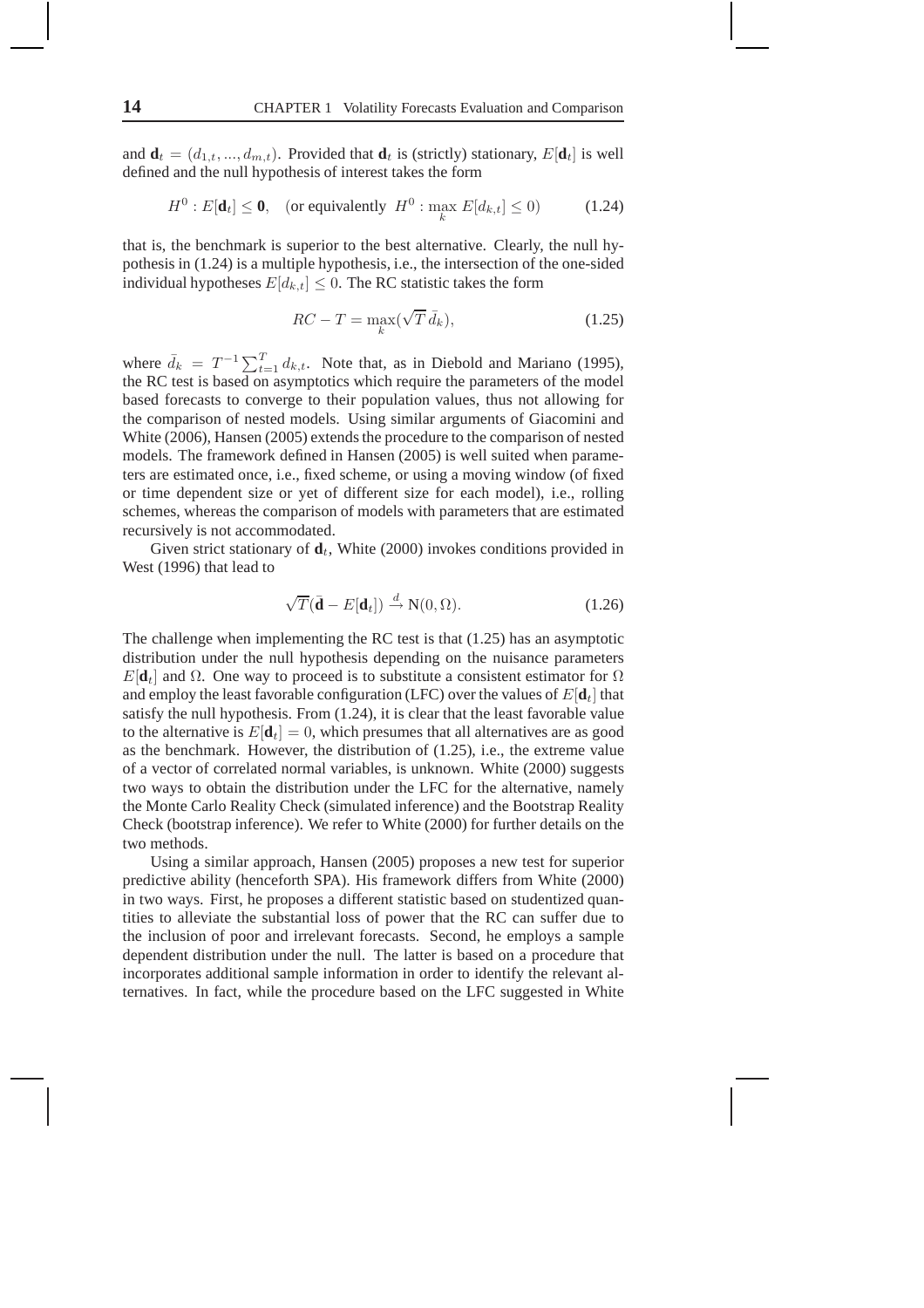and  $\mathbf{d}_t = (d_{1,t}, ..., d_{m,t})$ . Provided that  $\mathbf{d}_t$  is (strictly) stationary,  $E[\mathbf{d}_t]$  is well defined and the null hypothesis of interest takes the form

$$
H^{0}: E[\mathbf{d}_{t}] \leq \mathbf{0}, \quad \text{(or equivalently } H^{0}: \max_{k} E[d_{k,t}] \leq 0) \tag{1.24}
$$

that is, the benchmark is superior to the best alternative. Clearly, the null hypothesis in (1.24) is a multiple hypothesis, i.e., the intersection of the one-sided individual hypotheses  $E[d_{k,t}] \leq 0$ . The RC statistic takes the form

$$
RC - T = \max_{k} (\sqrt{T} \,\bar{d}_k),\tag{1.25}
$$

where  $\bar{d}_k = T^{-1} \sum_{t=1}^T d_{k,t}$ . Note that, as in Diebold and Mariano (1995), the RC test is based on asymptotics which require the parameters of the model based forecasts to converge to their population values, thus not allowing for the comparison of nested models. Using similar arguments of Giacomini and White (2006), Hansen (2005) extends the procedure to the comparison of nested models. The framework defined in Hansen (2005) is well suited when parameters are estimated once, i.e., fixed scheme, or using a moving window (of fixed or time dependent size or yet of different size for each model), i.e., rolling schemes, whereas the comparison of models with parameters that are estimated recursively is not accommodated.

Given strict stationary of  $\mathbf{d}_t$ , White (2000) invokes conditions provided in West (1996) that lead to

$$
\sqrt{T}(\bar{\mathbf{d}} - E[\mathbf{d}_t]) \stackrel{d}{\rightarrow} \mathcal{N}(0, \Omega). \tag{1.26}
$$

The challenge when implementing the RC test is that  $(1.25)$  has an asymptotic distribution under the null hypothesis depending on the nuisance parameters  $E[\mathbf{d}_t]$  and  $\Omega$ . One way to proceed is to substitute a consistent estimator for  $\Omega$ and employ the least favorable configuration (LFC) over the values of  $E[\mathbf{d}_t]$  that satisfy the null hypothesis. From (1.24), it is clear that the least favorable value to the alternative is  $E[\mathbf{d}_t] = 0$ , which presumes that all alternatives are as good as the benchmark. However, the distribution of (1.25), i.e., the extreme value of a vector of correlated normal variables, is unknown. White (2000) suggests two ways to obtain the distribution under the LFC for the alternative, namely the Monte Carlo Reality Check (simulated inference) and the Bootstrap Reality Check (bootstrap inference). We refer to White (2000) for further details on the two methods.

Using a similar approach, Hansen (2005) proposes a new test for superior predictive ability (henceforth SPA). His framework differs from White (2000) in two ways. First, he proposes a different statistic based on studentized quantities to alleviate the substantial loss of power that the RC can suffer due to the inclusion of poor and irrelevant forecasts. Second, he employs a sample dependent distribution under the null. The latter is based on a procedure that incorporates additional sample information in order to identify the relevant alternatives. In fact, while the procedure based on the LFC suggested in White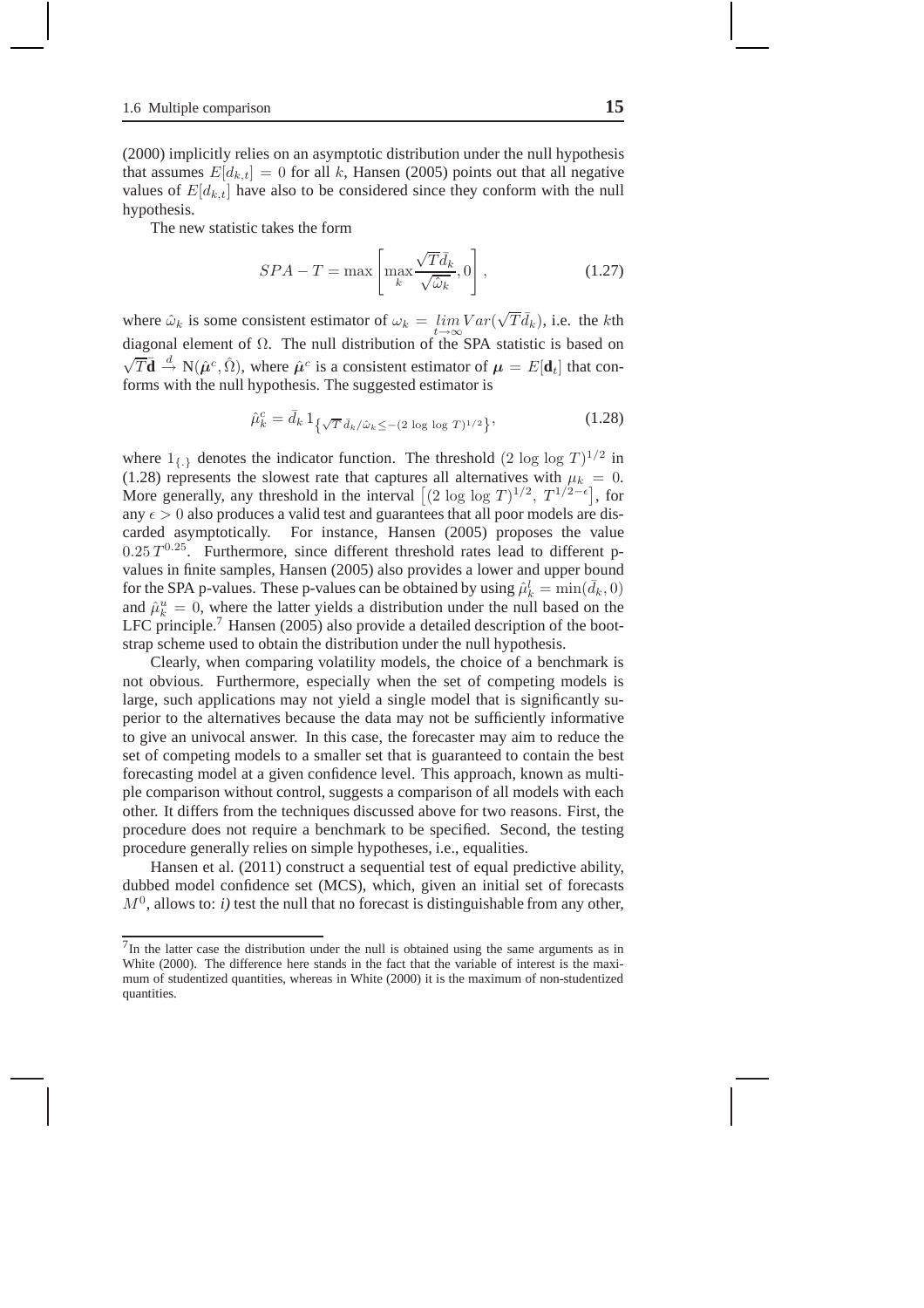(2000) implicitly relies on an asymptotic distribution under the null hypothesis that assumes  $E[d_{k,t}] = 0$  for all k, Hansen (2005) points out that all negative values of  $E[d_{k,t}]$  have also to be considered since they conform with the null hypothesis.

The new statistic takes the form

$$
SPA - T = \max\left[\max_{k} \frac{\sqrt{T} \bar{d}_k}{\sqrt{\hat{\omega}_k}}, 0\right],\tag{1.27}
$$

where  $\hat{\omega}_k$  is some consistent estimator of  $\omega_k = \lim_{k \to \infty} Var(\sqrt{T} \bar{d}_k)$ , i.e. the kth diagonal element of  $\Omega$ . The null distribution of the SPA statistic is based on  $\sqrt{T} \mathbf{d} \stackrel{d}{\rightarrow} N(\hat{\mu}^c, \hat{\Omega})$ , where  $\hat{\mu}^c$  is a consistent estimator of  $\mu = E[\mathbf{d}_t]$  that conforms with the null hypothesis. The suggested estimator is

$$
\hat{\mu}_k^c = \bar{d}_k \, 1_{\left\{ \sqrt{T} \, \bar{d}_k / \hat{\omega}_k \le -\left(2 \, \log \, \log \, T\right)^{1/2} \right\}},\tag{1.28}
$$

where  $1_{\{.\}}$  denotes the indicator function. The threshold  $(2 \log \log T)^{1/2}$  in (1.28) represents the slowest rate that captures all alternatives with  $\mu_k = 0$ . More generally, any threshold in the interval  $[(2 \log \log T)^{1/2}, T^{1/2-\epsilon}]$ , for any  $\epsilon > 0$  also produces a valid test and guarantees that all poor models are discarded asymptotically. For instance, Hansen (2005) proposes the value  $0.25 T^{0.25}$ . Furthermore, since different threshold rates lead to different pvalues in finite samples, Hansen (2005) also provides a lower and upper bound for the SPA p-values. These p-values can be obtained by using  $\hat{\mu}_k^l = \min(\bar{d}_k, 0)$ and  $\hat{\mu}_k^u = 0$ , where the latter yields a distribution under the null based on the LFC principle.<sup>7</sup> Hansen (2005) also provide a detailed description of the bootstrap scheme used to obtain the distribution under the null hypothesis.

Clearly, when comparing volatility models, the choice of a benchmark is not obvious. Furthermore, especially when the set of competing models is large, such applications may not yield a single model that is significantly superior to the alternatives because the data may not be sufficiently informative to give an univocal answer. In this case, the forecaster may aim to reduce the set of competing models to a smaller set that is guaranteed to contain the best forecasting model at a given confidence level. This approach, known as multiple comparison without control, suggests a comparison of all models with each other. It differs from the techniques discussed above for two reasons. First, the procedure does not require a benchmark to be specified. Second, the testing procedure generally relies on simple hypotheses, i.e., equalities.

Hansen et al. (2011) construct a sequential test of equal predictive ability, dubbed model confidence set (MCS), which, given an initial set of forecasts  $M<sup>0</sup>$ , allows to: *i*) test the null that no forecast is distinguishable from any other,

 $<sup>7</sup>$ In the latter case the distribution under the null is obtained using the same arguments as in</sup> White (2000). The difference here stands in the fact that the variable of interest is the maximum of studentized quantities, whereas in White (2000) it is the maximum of non-studentized quantities.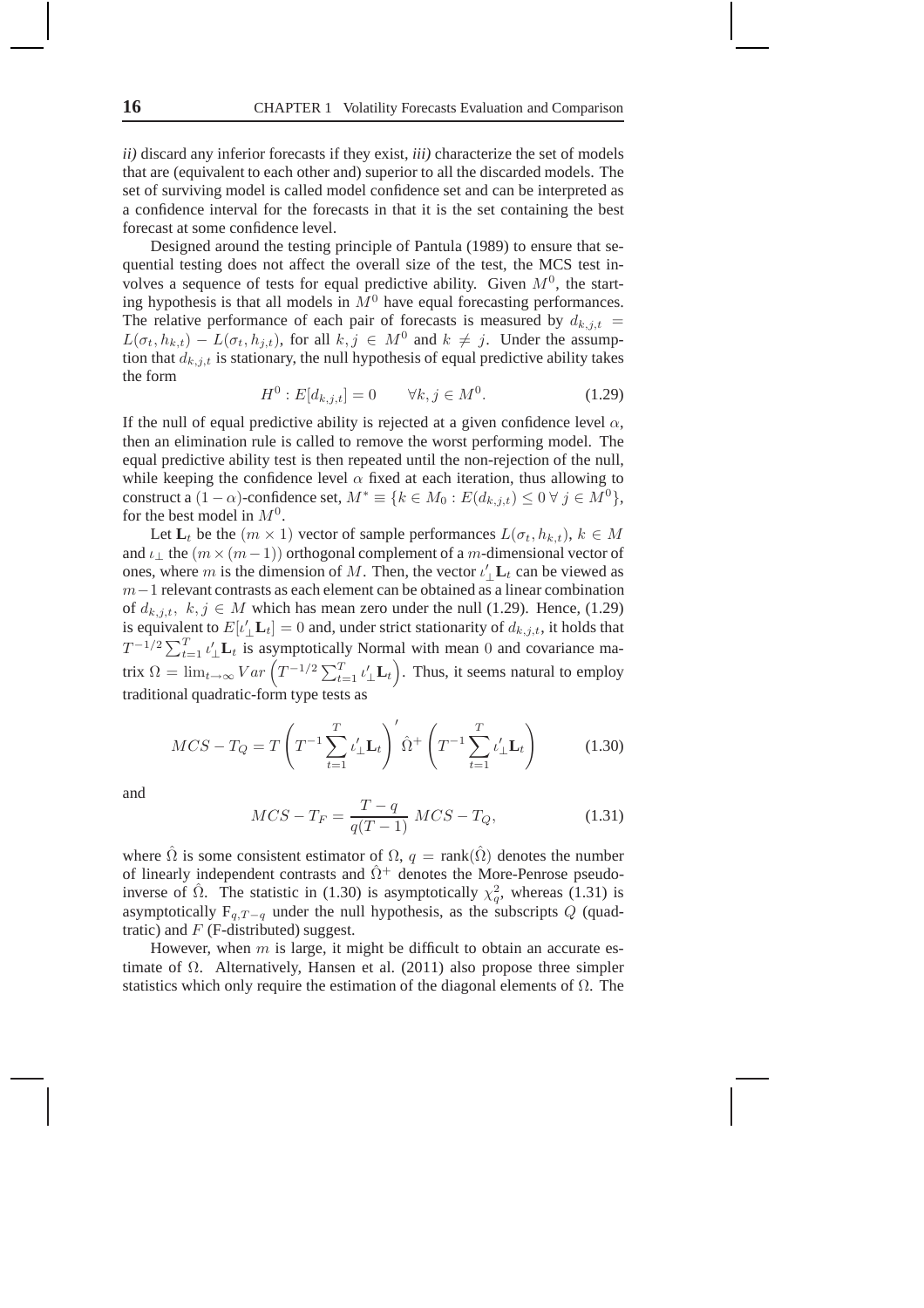*ii)* discard any inferior forecasts if they exist, *iii)* characterize the set of models that are (equivalent to each other and) superior to all the discarded models. The set of surviving model is called model confidence set and can be interpreted as a confidence interval for the forecasts in that it is the set containing the best forecast at some confidence level.

Designed around the testing principle of Pantula (1989) to ensure that sequential testing does not affect the overall size of the test, the MCS test involves a sequence of tests for equal predictive ability. Given  $M<sup>0</sup>$ , the starting hypothesis is that all models in  $M<sup>0</sup>$  have equal forecasting performances. The relative performance of each pair of forecasts is measured by  $d_{k,j,t}$  =  $L(\sigma_t, h_{k,t}) - L(\sigma_t, h_{j,t})$ , for all  $k, j \in M^0$  and  $k \neq j$ . Under the assumption that  $d_{k,j,t}$  is stationary, the null hypothesis of equal predictive ability takes the form

$$
H^{0}: E[d_{k,j,t}] = 0 \t \forall k, j \in M^{0}.
$$
 (1.29)

If the null of equal predictive ability is rejected at a given confidence level  $\alpha$ , then an elimination rule is called to remove the worst performing model. The equal predictive ability test is then repeated until the non-rejection of the null, while keeping the confidence level  $\alpha$  fixed at each iteration, thus allowing to construct a  $(1 - \alpha)$ -confidence set,  $M^* \equiv \{k \in M_0 : E(d_{k,j,t}) \leq 0 \ \forall j \in M^0 \},$ for the best model in  $M^0$ .

Let  $\mathbf{L}_t$  be the  $(m \times 1)$  vector of sample performances  $L(\sigma_t, h_{k,t}), k \in M$ and  $\iota_{\perp}$  the  $(m \times (m-1))$  orthogonal complement of a m-dimensional vector of ones, where m is the dimension of M. Then, the vector  $\iota'_{\perp} L_t$  can be viewed as  $m-1$  relevant contrasts as each element can be obtained as a linear combination of  $d_{k,i,t}, k, j \in M$  which has mean zero under the null (1.29). Hence, (1.29) is equivalent to  $E[i'_\perp \mathbf{L}_t] = 0$  and, under strict stationarity of  $d_{k,j,t}$ , it holds that  $T^{-1/2} \sum_{t=1}^{T} \iota'_{\perp} \mathbf{L}_t$  is asymptotically Normal with mean 0 and covariance matrix  $\Omega = \lim_{t \to \infty} Var \left( T^{-1/2} \sum_{t=1}^{T} \iota_{\perp}^{t} \mathbf{L}_t \right)$ . Thus, it seems natural to employ traditional quadratic-form type tests as

$$
MCS - T_Q = T\left(T^{-1}\sum_{t=1}^T \iota'_\perp \mathbf{L}_t\right)' \hat{\Omega}^+ \left(T^{-1}\sum_{t=1}^T \iota'_\perp \mathbf{L}_t\right) \tag{1.30}
$$

and

$$
MCS - T_F = \frac{T - q}{q(T - 1)} \, MCS - T_Q,\tag{1.31}
$$

where  $\hat{\Omega}$  is some consistent estimator of  $\Omega$ ,  $q = \text{rank}(\hat{\Omega})$  denotes the number of linearly independent contrasts and  $\hat{\Omega}^+$  denotes the More-Penrose pseudoinverse of  $\hat{\Omega}$ . The statistic in (1.30) is asymptotically  $\chi_q^2$ , whereas (1.31) is asymptotically  $F_{q,T-q}$  under the null hypothesis, as the subscripts Q (quadtratic) and  $F$  (F-distributed) suggest.

However, when m is large, it might be difficult to obtain an accurate estimate of  $\Omega$ . Alternatively, Hansen et al. (2011) also propose three simpler statistics which only require the estimation of the diagonal elements of  $\Omega$ . The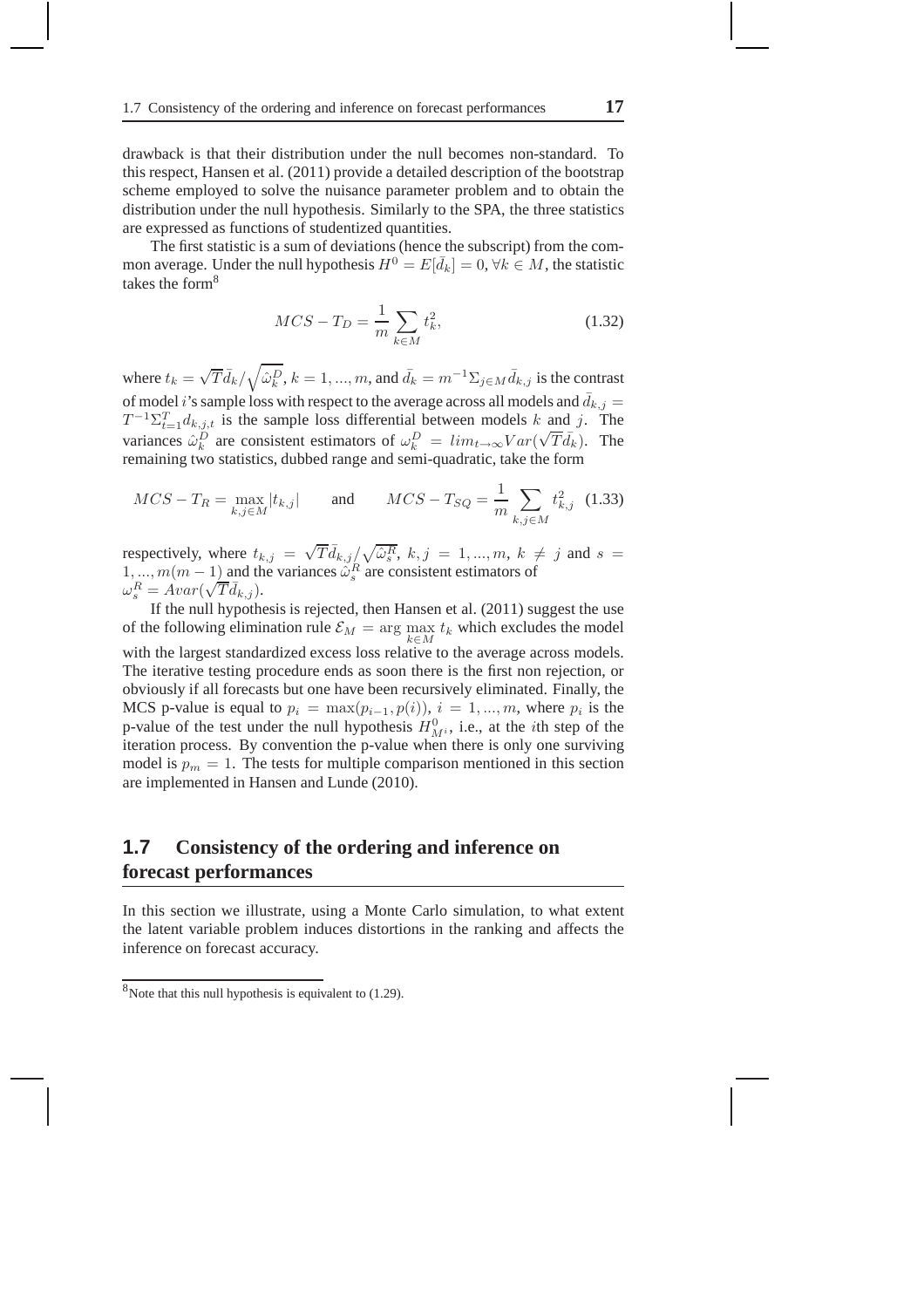drawback is that their distribution under the null becomes non-standard. To this respect, Hansen et al. (2011) provide a detailed description of the bootstrap scheme employed to solve the nuisance parameter problem and to obtain the distribution under the null hypothesis. Similarly to the SPA, the three statistics are expressed as functions of studentized quantities.

The first statistic is a sum of deviations (hence the subscript) from the common average. Under the null hypothesis  $H^0 = E[\bar{d}_k] = 0, \forall k \in M$ , the statistic takes the form<sup>8</sup>

$$
MCS - T_D = \frac{1}{m} \sum_{k \in M} t_k^2,
$$
\n(1.32)

where  $t_k=\sqrt{T}\bar{d}_k/\sqrt{\hat{\omega}^D_k}$ ,  $k=1,...,m$ , and  $\bar{d}_k=m^{-1}\Sigma_{j\in M}\bar{d}_{k,j}$  is the contrast of model *i*'s sample loss with respect to the average across all models and  $\bar{d}_{k,j} =$  $T^{-1}\Sigma_{t=1}^T d_{k,j,t}$  is the sample loss differential between models k and j. The variances  $\hat{\omega}_k^D$  are consistent estimators of  $\omega_k^D = \lim_{t \to \infty} Var(\sqrt{T} \overline{d}_k)$ . The remaining two statistics, dubbed range and semi-quadratic, take the form

$$
MCS - T_R = \max_{k,j \in M} |t_{k,j}| \quad \text{and} \quad MCS - T_{SQ} = \frac{1}{m} \sum_{k,j \in M} t_{k,j}^2 \quad (1.33)
$$

respectively, where  $t_{k,j} = \sqrt{T} \bar{d}_{k,j} / \sqrt{\hat{\omega}_s^R}$ ,  $k, j = 1, ..., m$ ,  $k \neq j$  and  $s =$  $1, ..., m(m-1)$  and the variances  $\hat{\omega}_s^R$  are consistent estimators of  $\omega_s^R = Avar(\sqrt{T}\bar{d}_{k,j}).$ 

If the null hypothesis is rejected, then Hansen et al. (2011) suggest the use of the following elimination rule  $\mathcal{E}_M = \arg \max_{k \in M} t_k$  which excludes the model with the largest standardized excess loss relative to the average across models. The iterative testing procedure ends as soon there is the first non rejection, or obviously if all forecasts but one have been recursively eliminated. Finally, the MCS p-value is equal to  $p_i = \max(p_{i-1}, p(i)), i = 1, ..., m$ , where  $p_i$  is the p-value of the test under the null hypothesis  $H_{M}^{0}$ , i.e., at the *i*th step of the iteration process. By convention the p-value when there is only one surviving model is  $p_m = 1$ . The tests for multiple comparison mentioned in this section are implemented in Hansen and Lunde (2010).

## **1.7 Consistency of the ordering and inference on forecast performances**

In this section we illustrate, using a Monte Carlo simulation, to what extent the latent variable problem induces distortions in the ranking and affects the inference on forecast accuracy.

 $8$ Note that this null hypothesis is equivalent to (1.29).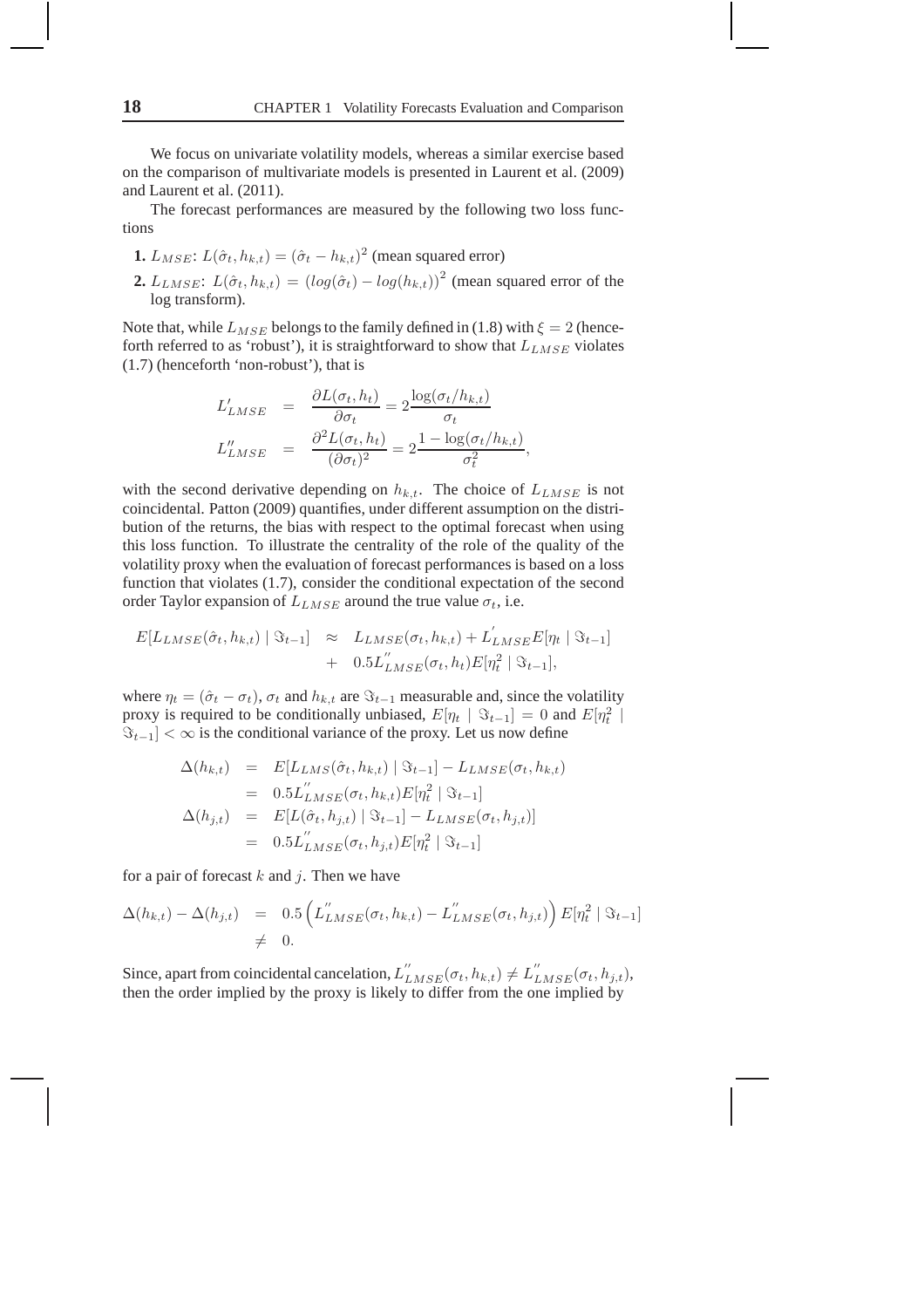We focus on univariate volatility models, whereas a similar exercise based on the comparison of multivariate models is presented in Laurent et al. (2009) and Laurent et al. (2011).

The forecast performances are measured by the following two loss functions

- **1.**  $L_{MSE}$ :  $L(\hat{\sigma}_t, h_{k,t}) = (\hat{\sigma}_t h_{k,t})^2$  (mean squared error)
- **2.**  $L_{LMSE}$ :  $L(\hat{\sigma}_t, h_{k,t}) = (log(\hat{\sigma}_t) log(h_{k,t}))^2$  (mean squared error of the log transform).

Note that, while  $L_{MSE}$  belongs to the family defined in (1.8) with  $\xi = 2$  (henceforth referred to as 'robust'), it is straightforward to show that  $L_{LMSE}$  violates (1.7) (henceforth 'non-robust'), that is

$$
L'_{LMSE} = \frac{\partial L(\sigma_t, h_t)}{\partial \sigma_t} = 2 \frac{\log(\sigma_t/h_{k,t})}{\sigma_t}
$$

$$
L''_{LMSE} = \frac{\partial^2 L(\sigma_t, h_t)}{(\partial \sigma_t)^2} = 2 \frac{1 - \log(\sigma_t/h_{k,t})}{\sigma_t^2},
$$

with the second derivative depending on  $h_{k,t}$ . The choice of  $L_{LMSE}$  is not coincidental. Patton (2009) quantifies, under different assumption on the distribution of the returns, the bias with respect to the optimal forecast when using this loss function. To illustrate the centrality of the role of the quality of the volatility proxy when the evaluation of forecast performances is based on a loss function that violates (1.7), consider the conditional expectation of the second order Taylor expansion of  $L_{LMSE}$  around the true value  $\sigma_t$ , i.e.

$$
E[L_{LMSE}(\hat{\sigma}_t, h_{k,t}) | \Im_{t-1}] \approx L_{LMSE}(\sigma_t, h_{k,t}) + L'_{LMSE}E[\eta_t | \Im_{t-1}] + 0.5L'_{LMSE}(\sigma_t, h_t)E[\eta_t^2 | \Im_{t-1}],
$$

where  $\eta_t = (\hat{\sigma}_t - \sigma_t)$ ,  $\sigma_t$  and  $h_{k,t}$  are  $\Im_{t-1}$  measurable and, since the volatility proxy is required to be conditionally unbiased,  $E[\eta_t | S_{t-1}] = 0$  and  $E[\eta_t^2 |$  $\Im_{t-1}$  < ∞ is the conditional variance of the proxy. Let us now define

$$
\Delta(h_{k,t}) = E[L_{LMS}(\hat{\sigma}_t, h_{k,t}) \mid \Im_{t-1}] - L_{LMSE}(\sigma_t, h_{k,t})
$$
  
\n
$$
= 0.5L_{LMSE}''(\sigma_t, h_{k,t})E[\eta_t^2 \mid \Im_{t-1}]
$$
  
\n
$$
\Delta(h_{j,t}) = E[L(\hat{\sigma}_t, h_{j,t}) \mid \Im_{t-1}] - L_{LMSE}(\sigma_t, h_{j,t})]
$$
  
\n
$$
= 0.5L_{LMSE}''(\sigma_t, h_{j,t})E[\eta_t^2 \mid \Im_{t-1}]
$$

for a pair of forecast  $k$  and  $j$ . Then we have

$$
\Delta(h_{k,t}) - \Delta(h_{j,t}) = 0.5 \left( L_{LMSE}''(\sigma_t, h_{k,t}) - L_{LMSE}''(\sigma_t, h_{j,t}) \right) E[\eta_t^2 | \Im_{t-1}]
$$
  

$$
\neq 0.
$$

Since, apart from coincidental cancelation,  $L_{LMSE}''(\sigma_t, h_{k,t}) \neq L_{LMSE}'(\sigma_t, h_{j,t}),$ then the order implied by the proxy is likely to differ from the one implied by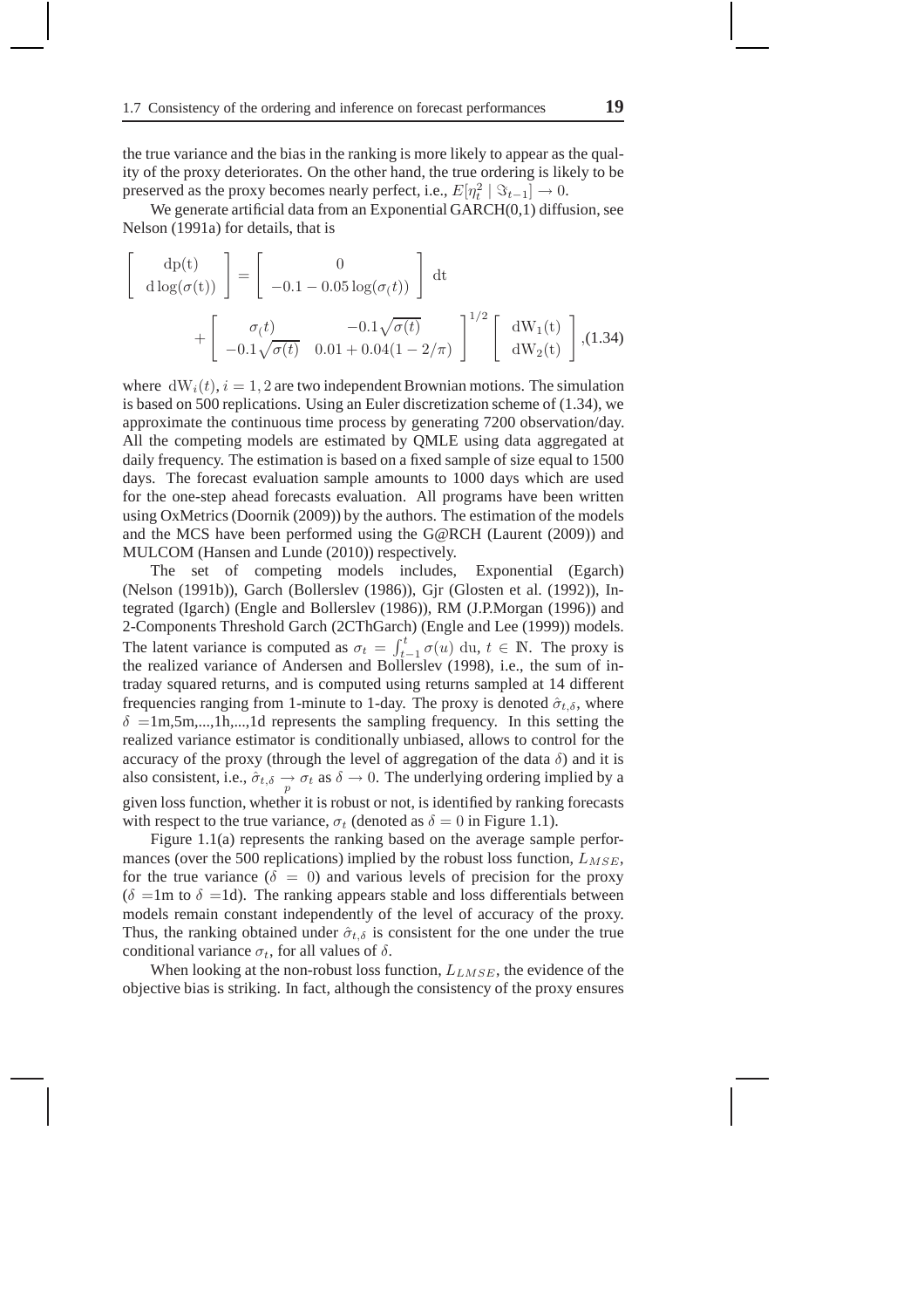the true variance and the bias in the ranking is more likely to appear as the quality of the proxy deteriorates. On the other hand, the true ordering is likely to be preserved as the proxy becomes nearly perfect, i.e.,  $E[\eta_t^2 | S_{t-1}] \to 0$ .

We generate artificial data from an Exponential GARCH(0,1) diffusion, see Nelson (1991a) for details, that is

$$
\begin{bmatrix}\n\text{dp(t)} \\
\text{d}\log(\sigma(t))\n\end{bmatrix} = \begin{bmatrix}\n0 \\
-0.1 - 0.05\log(\sigma(t))\n\end{bmatrix} dt\n+ \begin{bmatrix}\n\sigma(t) & -0.1\sqrt{\sigma(t)} \\
-0.1\sqrt{\sigma(t)} & 0.01 + 0.04(1 - 2/\pi)\n\end{bmatrix}^{1/2} \begin{bmatrix}\n\text{d}W_1(t) \\
\text{d}W_2(t)\n\end{bmatrix}, (1.34)
$$

where  $dW_i(t)$ ,  $i = 1, 2$  are two independent Brownian motions. The simulation is based on 500 replications. Using an Euler discretization scheme of (1.34), we approximate the continuous time process by generating 7200 observation/day. All the competing models are estimated by QMLE using data aggregated at daily frequency. The estimation is based on a fixed sample of size equal to 1500 days. The forecast evaluation sample amounts to 1000 days which are used for the one-step ahead forecasts evaluation. All programs have been written using OxMetrics (Doornik (2009)) by the authors. The estimation of the models and the MCS have been performed using the G@RCH (Laurent (2009)) and MULCOM (Hansen and Lunde (2010)) respectively.

The set of competing models includes, Exponential (Egarch) (Nelson (1991b)), Garch (Bollerslev (1986)), Gjr (Glosten et al. (1992)), Integrated (Igarch) (Engle and Bollerslev (1986)), RM (J.P.Morgan (1996)) and 2-Components Threshold Garch (2CThGarch) (Engle and Lee (1999)) models. The latent variance is computed as  $\sigma_t = \int_{t-1}^t \sigma(u) \, \mathrm{d}u$ ,  $t \in \mathbb{N}$ . The proxy is the realized variance of Andersen and Bollerslev (1998), i.e., the sum of intraday squared returns, and is computed using returns sampled at 14 different frequencies ranging from 1-minute to 1-day. The proxy is denoted  $\hat{\sigma}_{t,\delta}$ , where  $\delta =1$ m,5m,...,1h,...,1d represents the sampling frequency. In this setting the realized variance estimator is conditionally unbiased, allows to control for the accuracy of the proxy (through the level of aggregation of the data  $\delta$ ) and it is also consistent, i.e.,  $\hat{\sigma}_{t,\delta} \to \sigma_t$  as  $\delta \to 0$ . The underlying ordering implied by a given loss function, whether it is robust or not, is identified by ranking forecasts with respect to the true variance,  $\sigma_t$  (denoted as  $\delta = 0$  in Figure 1.1).

Figure 1.1(a) represents the ranking based on the average sample performances (over the 500 replications) implied by the robust loss function,  $L_{MSE}$ , for the true variance ( $\delta = 0$ ) and various levels of precision for the proxy  $(\delta = 1m$  to  $\delta = 1d$ ). The ranking appears stable and loss differentials between models remain constant independently of the level of accuracy of the proxy. Thus, the ranking obtained under  $\hat{\sigma}_{t,\delta}$  is consistent for the one under the true conditional variance  $\sigma_t$ , for all values of  $\delta$ .

When looking at the non-robust loss function,  $L_{LMSE}$ , the evidence of the objective bias is striking. In fact, although the consistency of the proxy ensures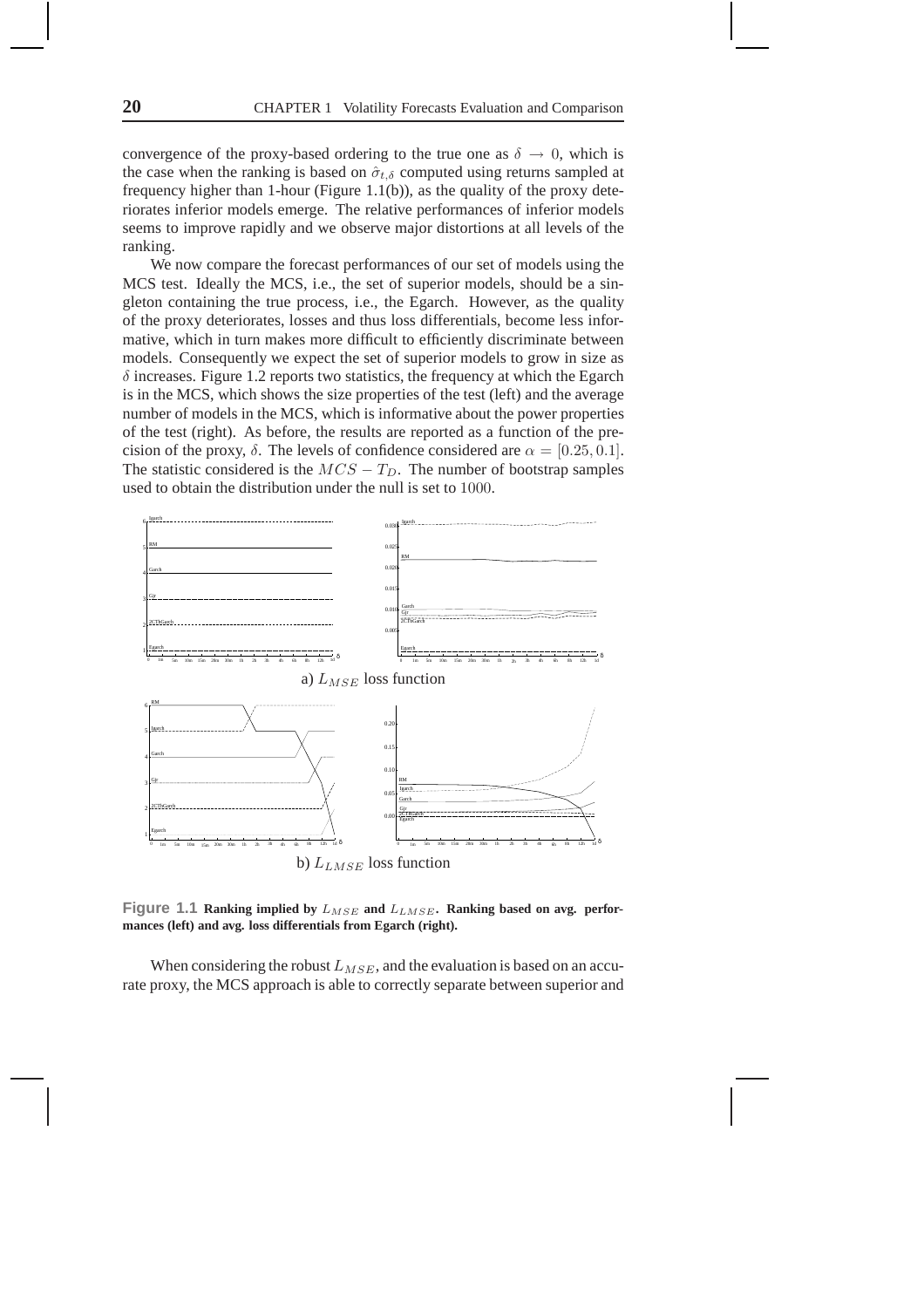convergence of the proxy-based ordering to the true one as  $\delta \rightarrow 0$ , which is the case when the ranking is based on  $\hat{\sigma}_{t,\delta}$  computed using returns sampled at frequency higher than 1-hour (Figure 1.1(b)), as the quality of the proxy deteriorates inferior models emerge. The relative performances of inferior models seems to improve rapidly and we observe major distortions at all levels of the ranking.

We now compare the forecast performances of our set of models using the MCS test. Ideally the MCS, i.e., the set of superior models, should be a singleton containing the true process, i.e., the Egarch. However, as the quality of the proxy deteriorates, losses and thus loss differentials, become less informative, which in turn makes more difficult to efficiently discriminate between models. Consequently we expect the set of superior models to grow in size as  $\delta$  increases. Figure 1.2 reports two statistics, the frequency at which the Egarch is in the MCS, which shows the size properties of the test (left) and the average number of models in the MCS, which is informative about the power properties of the test (right). As before, the results are reported as a function of the precision of the proxy,  $\delta$ . The levels of confidence considered are  $\alpha = [0.25, 0.1]$ . The statistic considered is the  $MCS - T_D$ . The number of bootstrap samples used to obtain the distribution under the null is set to 1000.



Figure 1.1 Ranking implied by  $L_{MSE}$  and  $L_{LMSE}$ . Ranking based on avg. perfor**mances (left) and avg. loss differentials from Egarch (right).**

When considering the robust  $L_{MSE}$ , and the evaluation is based on an accurate proxy, the MCS approach is able to correctly separate between superior and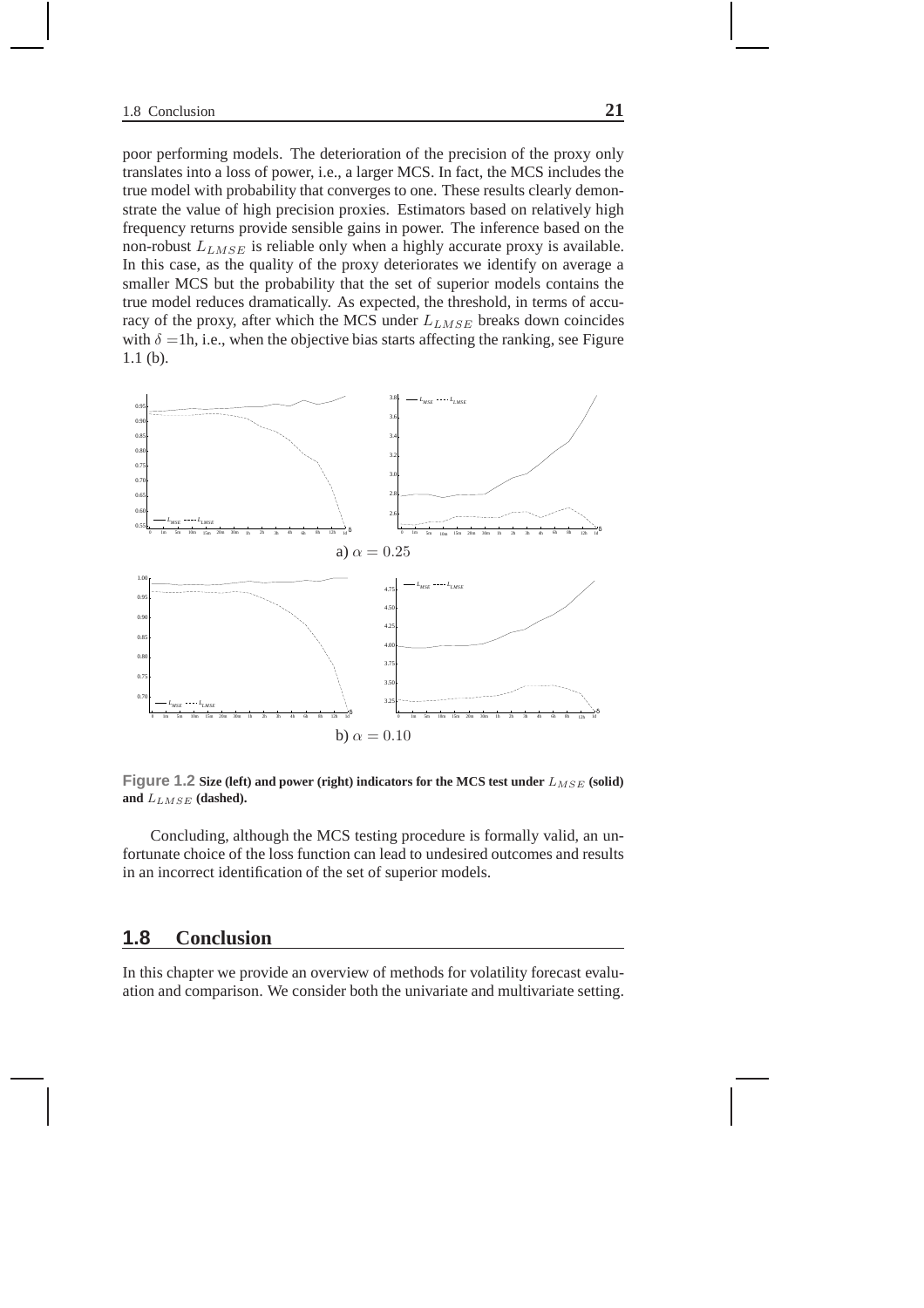poor performing models. The deterioration of the precision of the proxy only translates into a loss of power, i.e., a larger MCS. In fact, the MCS includes the true model with probability that converges to one. These results clearly demonstrate the value of high precision proxies. Estimators based on relatively high frequency returns provide sensible gains in power. The inference based on the non-robust  $L_{LMSE}$  is reliable only when a highly accurate proxy is available. In this case, as the quality of the proxy deteriorates we identify on average a smaller MCS but the probability that the set of superior models contains the true model reduces dramatically. As expected, the threshold, in terms of accuracy of the proxy, after which the MCS under  $L_{LMSE}$  breaks down coincides with  $\delta = 1$ h, i.e., when the objective bias starts affecting the ranking, see Figure 1.1 (b).



**Figure 1.2 Size (left) and power (right) indicators for the MCS test under**  $L_{MSE}$  **(solid) and** LLMSE **(dashed).**

Concluding, although the MCS testing procedure is formally valid, an unfortunate choice of the loss function can lead to undesired outcomes and results in an incorrect identification of the set of superior models.

#### **1.8 Conclusion**

In this chapter we provide an overview of methods for volatility forecast evaluation and comparison. We consider both the univariate and multivariate setting.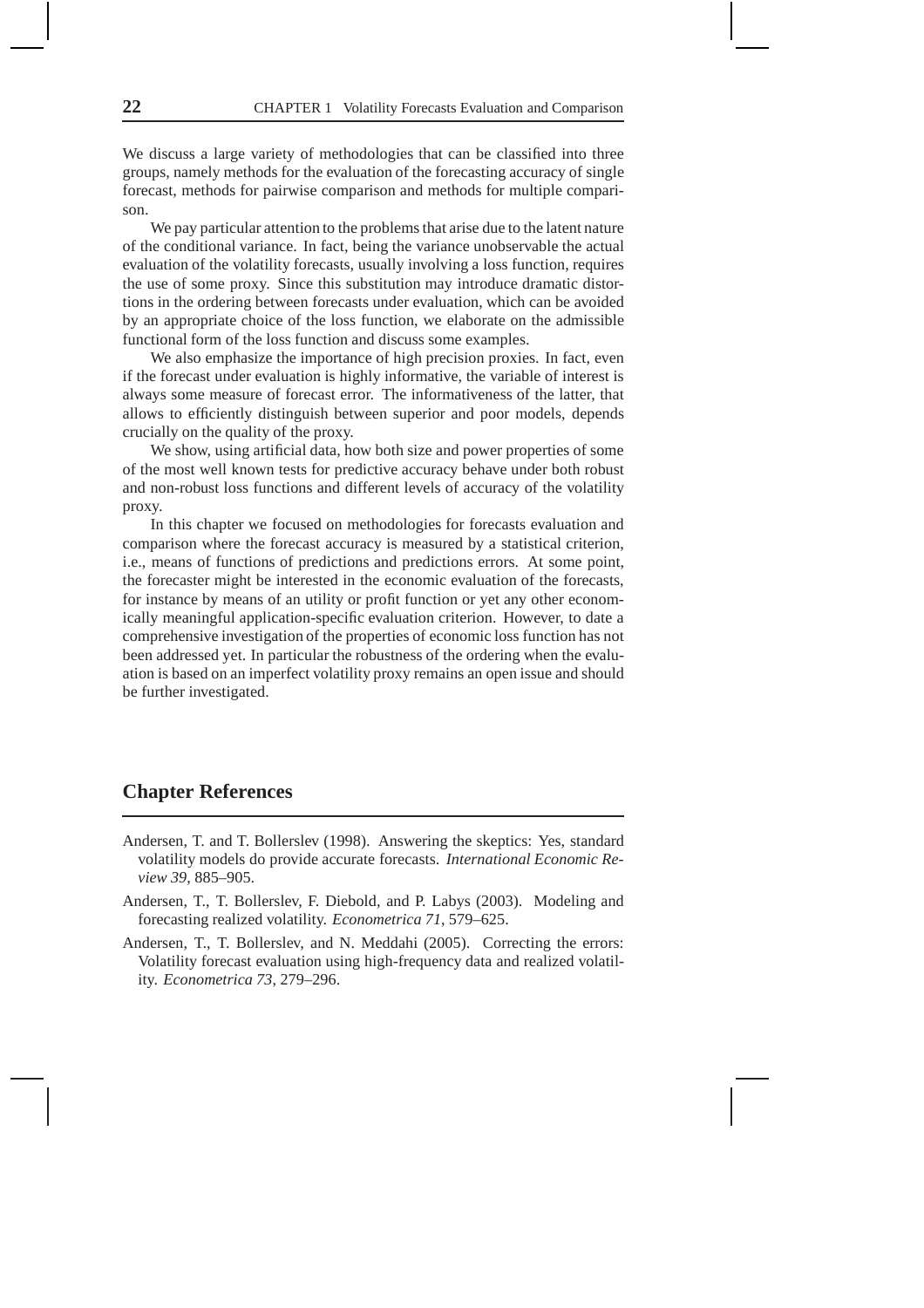We discuss a large variety of methodologies that can be classified into three groups, namely methods for the evaluation of the forecasting accuracy of single forecast, methods for pairwise comparison and methods for multiple comparison.

We pay particular attention to the problems that arise due to the latent nature of the conditional variance. In fact, being the variance unobservable the actual evaluation of the volatility forecasts, usually involving a loss function, requires the use of some proxy. Since this substitution may introduce dramatic distortions in the ordering between forecasts under evaluation, which can be avoided by an appropriate choice of the loss function, we elaborate on the admissible functional form of the loss function and discuss some examples.

We also emphasize the importance of high precision proxies. In fact, even if the forecast under evaluation is highly informative, the variable of interest is always some measure of forecast error. The informativeness of the latter, that allows to efficiently distinguish between superior and poor models, depends crucially on the quality of the proxy.

We show, using artificial data, how both size and power properties of some of the most well known tests for predictive accuracy behave under both robust and non-robust loss functions and different levels of accuracy of the volatility proxy.

In this chapter we focused on methodologies for forecasts evaluation and comparison where the forecast accuracy is measured by a statistical criterion, i.e., means of functions of predictions and predictions errors. At some point, the forecaster might be interested in the economic evaluation of the forecasts, for instance by means of an utility or profit function or yet any other economically meaningful application-specific evaluation criterion. However, to date a comprehensive investigation of the properties of economic loss function has not been addressed yet. In particular the robustness of the ordering when the evaluation is based on an imperfect volatility proxy remains an open issue and should be further investigated.

#### **Chapter References**

- Andersen, T. and T. Bollerslev (1998). Answering the skeptics: Yes, standard volatility models do provide accurate forecasts. *International Economic Review 39*, 885–905.
- Andersen, T., T. Bollerslev, F. Diebold, and P. Labys (2003). Modeling and forecasting realized volatility. *Econometrica 71*, 579–625.
- Andersen, T., T. Bollerslev, and N. Meddahi (2005). Correcting the errors: Volatility forecast evaluation using high-frequency data and realized volatility. *Econometrica 73*, 279–296.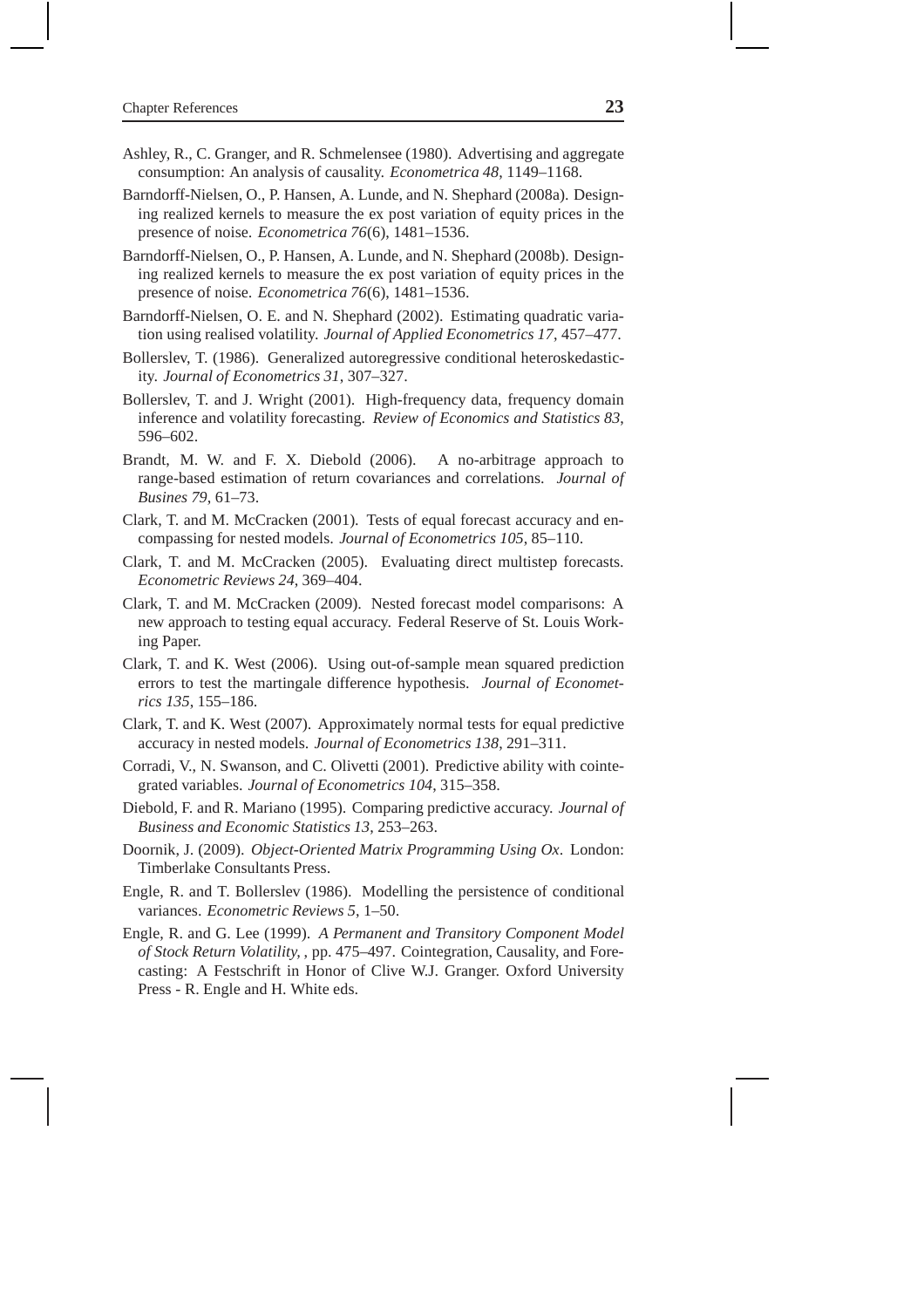- Ashley, R., C. Granger, and R. Schmelensee (1980). Advertising and aggregate consumption: An analysis of causality. *Econometrica 48*, 1149–1168.
- Barndorff-Nielsen, O., P. Hansen, A. Lunde, and N. Shephard (2008a). Designing realized kernels to measure the ex post variation of equity prices in the presence of noise. *Econometrica 76*(6), 1481–1536.
- Barndorff-Nielsen, O., P. Hansen, A. Lunde, and N. Shephard (2008b). Designing realized kernels to measure the ex post variation of equity prices in the presence of noise. *Econometrica 76*(6), 1481–1536.
- Barndorff-Nielsen, O. E. and N. Shephard (2002). Estimating quadratic variation using realised volatility. *Journal of Applied Econometrics 17*, 457–477.
- Bollerslev, T. (1986). Generalized autoregressive conditional heteroskedasticity. *Journal of Econometrics 31*, 307–327.
- Bollerslev, T. and J. Wright (2001). High-frequency data, frequency domain inference and volatility forecasting. *Review of Economics and Statistics 83*, 596–602.
- Brandt, M. W. and F. X. Diebold (2006). A no-arbitrage approach to range-based estimation of return covariances and correlations. *Journal of Busines 79*, 61–73.
- Clark, T. and M. McCracken (2001). Tests of equal forecast accuracy and encompassing for nested models. *Journal of Econometrics 105*, 85–110.
- Clark, T. and M. McCracken (2005). Evaluating direct multistep forecasts. *Econometric Reviews 24*, 369–404.
- Clark, T. and M. McCracken (2009). Nested forecast model comparisons: A new approach to testing equal accuracy. Federal Reserve of St. Louis Working Paper.
- Clark, T. and K. West (2006). Using out-of-sample mean squared prediction errors to test the martingale difference hypothesis. *Journal of Econometrics 135*, 155–186.
- Clark, T. and K. West (2007). Approximately normal tests for equal predictive accuracy in nested models. *Journal of Econometrics 138*, 291–311.
- Corradi, V., N. Swanson, and C. Olivetti (2001). Predictive ability with cointegrated variables. *Journal of Econometrics 104*, 315–358.
- Diebold, F. and R. Mariano (1995). Comparing predictive accuracy. *Journal of Business and Economic Statistics 13*, 253–263.
- Doornik, J. (2009). *Object-Oriented Matrix Programming Using Ox*. London: Timberlake Consultants Press.
- Engle, R. and T. Bollerslev (1986). Modelling the persistence of conditional variances. *Econometric Reviews 5*, 1–50.
- Engle, R. and G. Lee (1999). *A Permanent and Transitory Component Model of Stock Return Volatility,* , pp. 475–497. Cointegration, Causality, and Forecasting: A Festschrift in Honor of Clive W.J. Granger. Oxford University Press - R. Engle and H. White eds.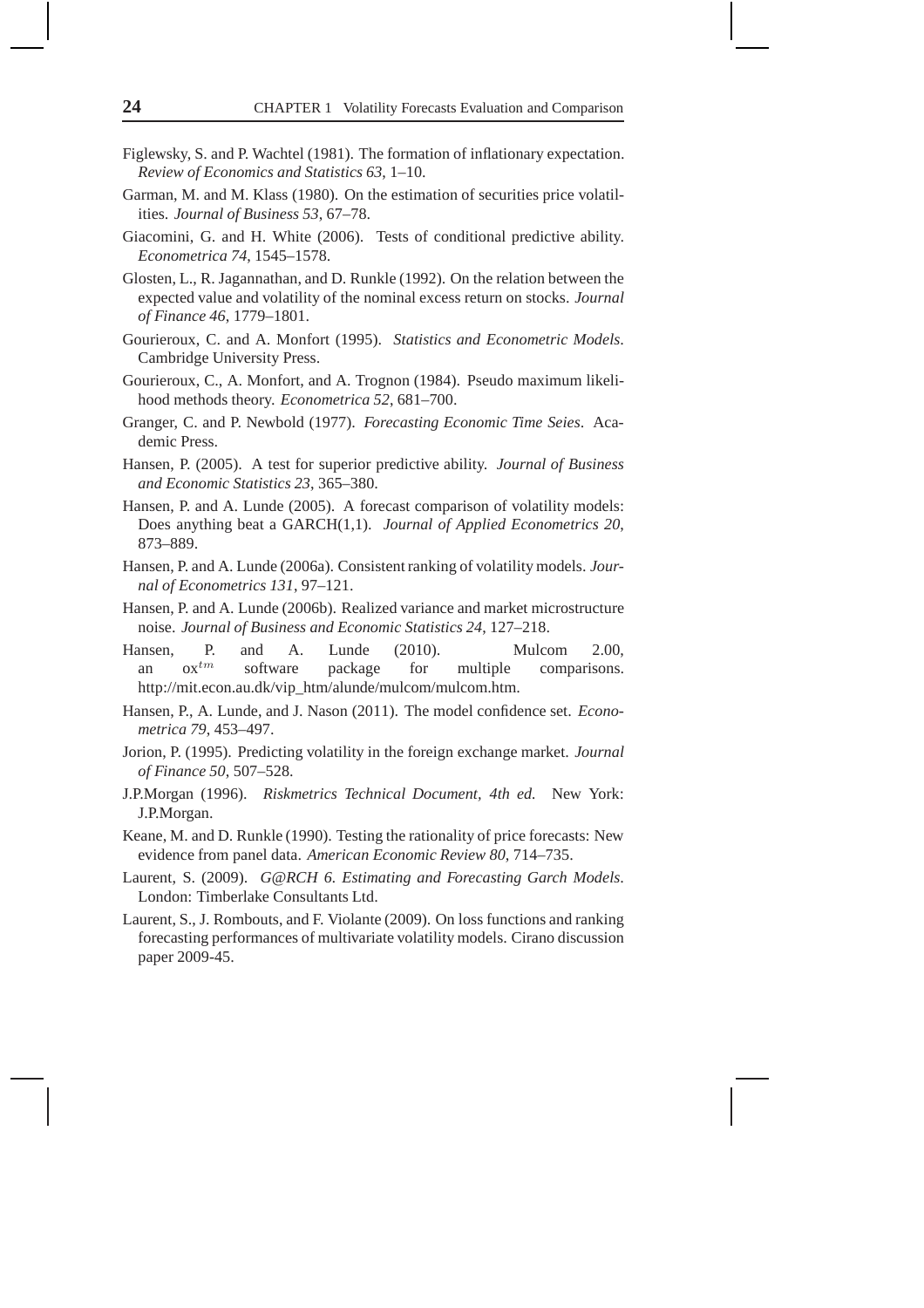- Figlewsky, S. and P. Wachtel (1981). The formation of inflationary expectation. *Review of Economics and Statistics 63*, 1–10.
- Garman, M. and M. Klass (1980). On the estimation of securities price volatilities. *Journal of Business 53*, 67–78.
- Giacomini, G. and H. White (2006). Tests of conditional predictive ability. *Econometrica 74*, 1545–1578.
- Glosten, L., R. Jagannathan, and D. Runkle (1992). On the relation between the expected value and volatility of the nominal excess return on stocks. *Journal of Finance 46*, 1779–1801.
- Gourieroux, C. and A. Monfort (1995). *Statistics and Econometric Models*. Cambridge University Press.
- Gourieroux, C., A. Monfort, and A. Trognon (1984). Pseudo maximum likelihood methods theory. *Econometrica 52*, 681–700.
- Granger, C. and P. Newbold (1977). *Forecasting Economic Time Seies*. Academic Press.
- Hansen, P. (2005). A test for superior predictive ability. *Journal of Business and Economic Statistics 23*, 365–380.
- Hansen, P. and A. Lunde (2005). A forecast comparison of volatility models: Does anything beat a GARCH(1,1). *Journal of Applied Econometrics 20*, 873–889.
- Hansen, P. and A. Lunde (2006a). Consistent ranking of volatility models. *Journal of Econometrics 131*, 97–121.
- Hansen, P. and A. Lunde (2006b). Realized variance and market microstructure noise. *Journal of Business and Economic Statistics 24*, 127–218.
- Hansen, P. and A. Lunde (2010). Mulcom 2.00, an  $\alpha^{tm}$  software package for multiple comparisons. http://mit.econ.au.dk/vip\_htm/alunde/mulcom/mulcom.htm.
- Hansen, P., A. Lunde, and J. Nason (2011). The model confidence set. *Econometrica 79*, 453–497.
- Jorion, P. (1995). Predicting volatility in the foreign exchange market. *Journal of Finance 50*, 507–528.
- J.P.Morgan (1996). *Riskmetrics Technical Document, 4th ed.* New York: J.P.Morgan.
- Keane, M. and D. Runkle (1990). Testing the rationality of price forecasts: New evidence from panel data. *American Economic Review 80*, 714–735.
- Laurent, S. (2009). *G@RCH 6. Estimating and Forecasting Garch Models*. London: Timberlake Consultants Ltd.
- Laurent, S., J. Rombouts, and F. Violante (2009). On loss functions and ranking forecasting performances of multivariate volatility models. Cirano discussion paper 2009-45.